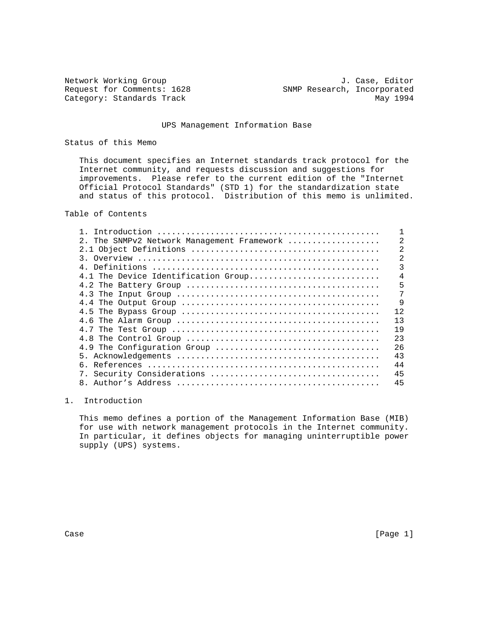Network Working Group and Alexander Month of The U. Case, Editor Request for Comments: 1628 SNMP Research, Incorporated Category: Standards Track May 1994

### UPS Management Information Base

### Status of this Memo

 This document specifies an Internet standards track protocol for the Internet community, and requests discussion and suggestions for improvements. Please refer to the current edition of the "Internet Official Protocol Standards" (STD 1) for the standardization state and status of this protocol. Distribution of this memo is unlimited.

Table of Contents

| 2. The SNMPv2 Network Management Framework |                |
|--------------------------------------------|----------------|
|                                            | $\overline{2}$ |
|                                            | $\overline{2}$ |
|                                            | 3              |
| 4.1 The Device Identification Group        | 4              |
|                                            | 5              |
|                                            | 7              |
|                                            | 9              |
|                                            | 12.            |
|                                            | 13             |
|                                            | 19             |
|                                            | 23             |
| 4.9 The Configuration Group                | 26             |
|                                            | 43             |
|                                            | 44             |
|                                            | 45             |
|                                            | 45             |
|                                            |                |

## 1. Introduction

 This memo defines a portion of the Management Information Base (MIB) for use with network management protocols in the Internet community. In particular, it defines objects for managing uninterruptible power supply (UPS) systems.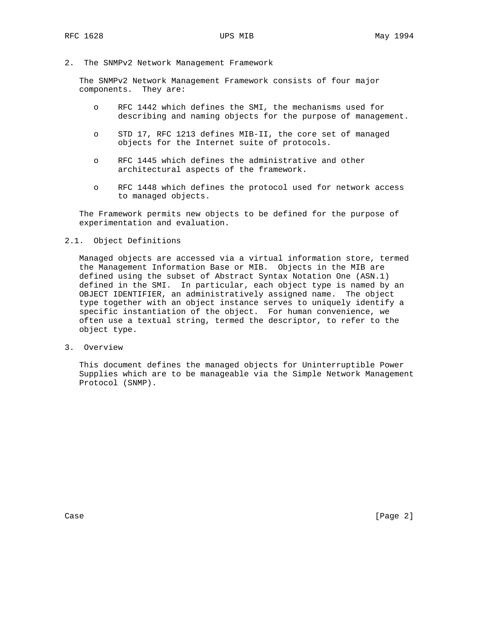2. The SNMPv2 Network Management Framework

 The SNMPv2 Network Management Framework consists of four major components. They are:

- o RFC 1442 which defines the SMI, the mechanisms used for describing and naming objects for the purpose of management.
- o STD 17, RFC 1213 defines MIB-II, the core set of managed objects for the Internet suite of protocols.
- o RFC 1445 which defines the administrative and other architectural aspects of the framework.
- o RFC 1448 which defines the protocol used for network access to managed objects.

 The Framework permits new objects to be defined for the purpose of experimentation and evaluation.

### 2.1. Object Definitions

 Managed objects are accessed via a virtual information store, termed the Management Information Base or MIB. Objects in the MIB are defined using the subset of Abstract Syntax Notation One (ASN.1) defined in the SMI. In particular, each object type is named by an OBJECT IDENTIFIER, an administratively assigned name. The object type together with an object instance serves to uniquely identify a specific instantiation of the object. For human convenience, we often use a textual string, termed the descriptor, to refer to the object type.

3. Overview

 This document defines the managed objects for Uninterruptible Power Supplies which are to be manageable via the Simple Network Management Protocol (SNMP).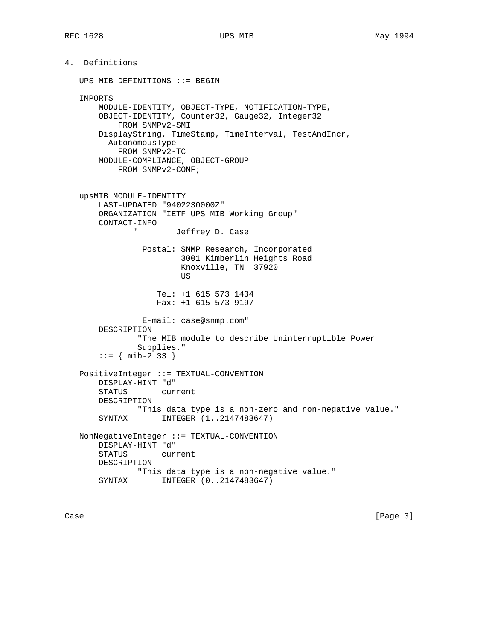4. Definitions UPS-MIB DEFINITIONS ::= BEGIN IMPORTS MODULE-IDENTITY, OBJECT-TYPE, NOTIFICATION-TYPE, OBJECT-IDENTITY, Counter32, Gauge32, Integer32 FROM SNMPv2-SMI DisplayString, TimeStamp, TimeInterval, TestAndIncr, AutonomousType FROM SNMPv2-TC MODULE-COMPLIANCE, OBJECT-GROUP FROM SNMPv2-CONF; upsMIB MODULE-IDENTITY LAST-UPDATED "9402230000Z" ORGANIZATION "IETF UPS MIB Working Group" CONTACT-INFO " Jeffrey D. Case Postal: SNMP Research, Incorporated 3001 Kimberlin Heights Road Knoxville, TN 37920 **US** *US*  Tel: +1 615 573 1434 Fax: +1 615 573 9197 E-mail: case@snmp.com" DESCRIPTION "The MIB module to describe Uninterruptible Power Supplies."  $::=$  { mib-2 33 } PositiveInteger ::= TEXTUAL-CONVENTION DISPLAY-HINT "d" STATUS current DESCRIPTION "This data type is a non-zero and non-negative value." SYNTAX INTEGER (1..2147483647) NonNegativeInteger ::= TEXTUAL-CONVENTION DISPLAY-HINT "d" STATUS current DESCRIPTION "This data type is a non-negative value."<br>SYNTAX INTEGER  $(0..2147483647)$ INTEGER (0..2147483647)

Case [Page 3]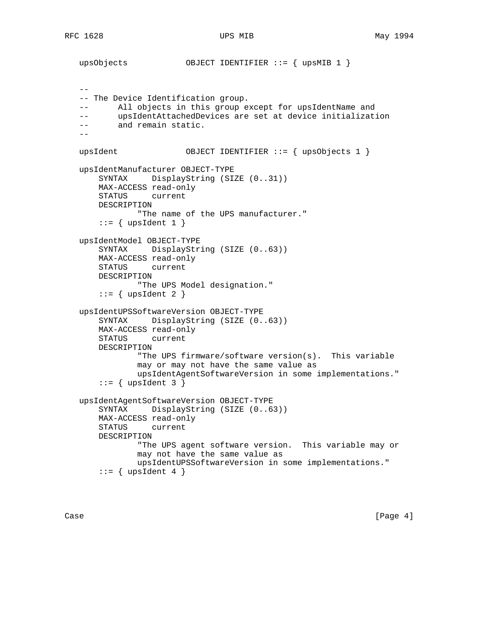```
 upsObjects OBJECT IDENTIFIER ::= { upsMIB 1 }
- - -- The Device Identification group.
 -- All objects in this group except for upsIdentName and
 -- upsIdentAttachedDevices are set at device initialization
 -- and remain static.
- upsIdent OBJECT IDENTIFIER ::= { upsObjects 1 }
 upsIdentManufacturer OBJECT-TYPE
     SYNTAX DisplayString (SIZE (0..31))
     MAX-ACCESS read-only
     STATUS current
    DESCRIPTION
             "The name of the UPS manufacturer."
    ::= { upsIdent 1 }
 upsIdentModel OBJECT-TYPE
     SYNTAX DisplayString (SIZE (0..63))
    MAX-ACCESS read-only
    STATUS current
    DESCRIPTION
             "The UPS Model designation."
    ::= { upsIdent 2 }
 upsIdentUPSSoftwareVersion OBJECT-TYPE
     SYNTAX DisplayString (SIZE (0..63))
    MAX-ACCESS read-only
    STATUS current
    DESCRIPTION
             "The UPS firmware/software version(s). This variable
            may or may not have the same value as
            upsIdentAgentSoftwareVersion in some implementations."
    ::= { upsIdent 3 }
 upsIdentAgentSoftwareVersion OBJECT-TYPE
     SYNTAX DisplayString (SIZE (0..63))
    MAX-ACCESS read-only
    STATUS current
    DESCRIPTION
             "The UPS agent software version. This variable may or
             may not have the same value as
             upsIdentUPSSoftwareVersion in some implementations."
    ::= { upsIdent 4 }
```
Case [Page 4] [Page 4]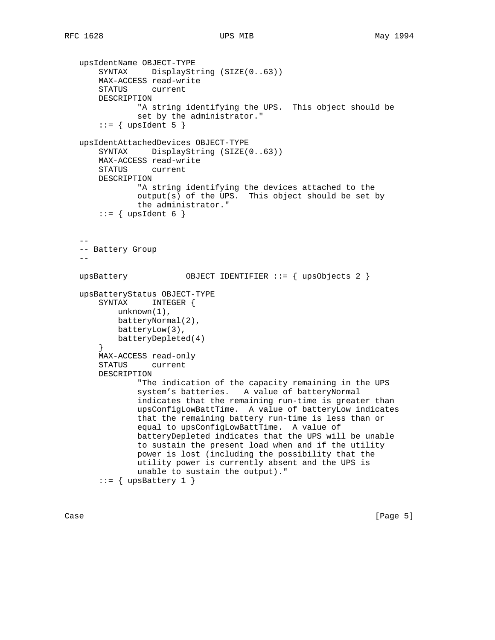```
 upsIdentName OBJECT-TYPE
       SYNTAX DisplayString (SIZE(0..63))
       MAX-ACCESS read-write
       STATUS current
       DESCRIPTION
                "A string identifying the UPS. This object should be
               set by the administrator."
      ::= { upsIdent 5 }
   upsIdentAttachedDevices OBJECT-TYPE
       SYNTAX DisplayString (SIZE(0..63))
       MAX-ACCESS read-write
       STATUS current
       DESCRIPTION
               "A string identifying the devices attached to the
               output(s) of the UPS. This object should be set by
               the administrator."
      ::= { upsIdent 6 }
- -- Battery Group
  - - upsBattery OBJECT IDENTIFIER ::= { upsObjects 2 }
   upsBatteryStatus OBJECT-TYPE
       SYNTAX INTEGER {
           unknown(1),
           batteryNormal(2),
           batteryLow(3),
           batteryDepleted(4)
       }
       MAX-ACCESS read-only
       STATUS current
       DESCRIPTION
               "The indication of the capacity remaining in the UPS
               system's batteries. A value of batteryNormal
               indicates that the remaining run-time is greater than
               upsConfigLowBattTime. A value of batteryLow indicates
               that the remaining battery run-time is less than or
               equal to upsConfigLowBattTime. A value of
               batteryDepleted indicates that the UPS will be unable
               to sustain the present load when and if the utility
               power is lost (including the possibility that the
               utility power is currently absent and the UPS is
               unable to sustain the output)."
      ::= { upsBattery 1 }
```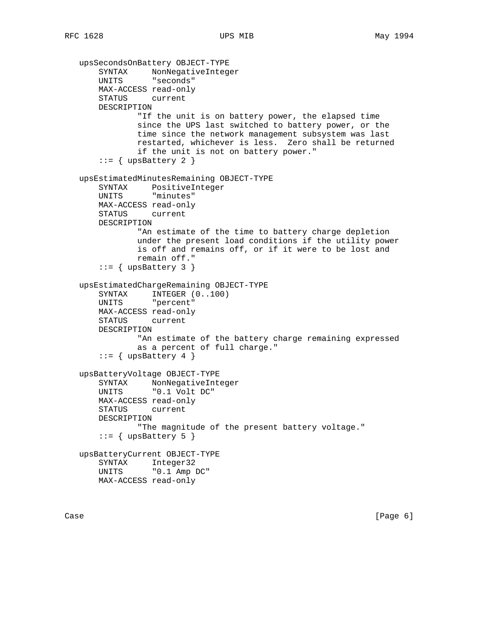```
 upsSecondsOnBattery OBJECT-TYPE
 SYNTAX NonNegativeInteger
 UNITS "seconds"
       MAX-ACCESS read-only
       STATUS current
       DESCRIPTION
               "If the unit is on battery power, the elapsed time
               since the UPS last switched to battery power, or the
               time since the network management subsystem was last
               restarted, whichever is less. Zero shall be returned
               if the unit is not on battery power."
      ::= { upsBattery 2 }
   upsEstimatedMinutesRemaining OBJECT-TYPE
       SYNTAX PositiveInteger
       UNITS "minutes"
       MAX-ACCESS read-only
       STATUS current
       DESCRIPTION
               "An estimate of the time to battery charge depletion
               under the present load conditions if the utility power
               is off and remains off, or if it were to be lost and
               remain off."
      ::= { upsBattery 3 }
   upsEstimatedChargeRemaining OBJECT-TYPE
 SYNTAX INTEGER (0..100)
 UNITS "percent"
       MAX-ACCESS read-only
       STATUS current
       DESCRIPTION
               "An estimate of the battery charge remaining expressed
               as a percent of full charge."
      ::= { upsBattery 4 }
   upsBatteryVoltage OBJECT-TYPE
       SYNTAX NonNegativeInteger
       UNITS "0.1 Volt DC"
       MAX-ACCESS read-only
       STATUS current
       DESCRIPTION
               "The magnitude of the present battery voltage."
      ::= { upsBattery 5 }
   upsBatteryCurrent OBJECT-TYPE
       SYNTAX Integer32
       UNITS "0.1 Amp DC"
       MAX-ACCESS read-only
```
Case [Page 6] [Page 6] [Page 6] [Page 6] [Page 6] [Page 6] [Page 6] [Page 6] [Page 6] [Page 6] [Page 6] [Page 6] [Page 6] [Page 6] [Page 6] [Page 6] [Page 6] [Page 6] [Page 6] [Page 6] [Page 6] [Page 6] [Page 6] [Page 6] [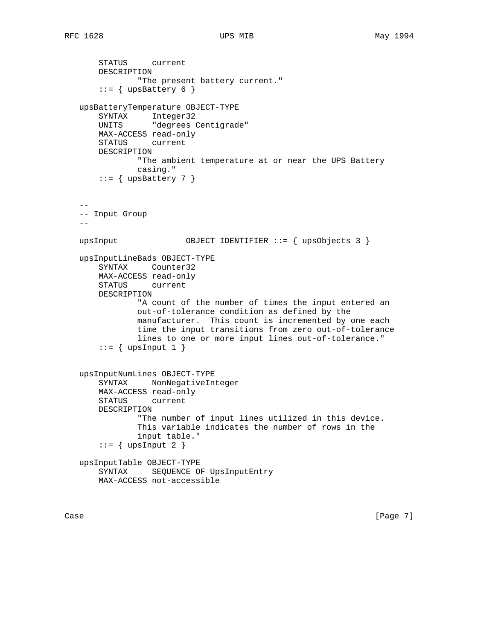```
 STATUS current
       DESCRIPTION
               "The present battery current."
      ::= { upsBattery 6 }
   upsBatteryTemperature OBJECT-TYPE
 SYNTAX Integer32
 UNITS "degrees Centigrade"
       MAX-ACCESS read-only
       STATUS current
       DESCRIPTION
               "The ambient temperature at or near the UPS Battery
               casing."
      ::= { upsBattery 7 }
 --
   -- Input Group
  - upsInput OBJECT IDENTIFIER ::= { upsObjects 3 }
   upsInputLineBads OBJECT-TYPE
       SYNTAX Counter32
       MAX-ACCESS read-only
       STATUS current
       DESCRIPTION
               "A count of the number of times the input entered an
               out-of-tolerance condition as defined by the
               manufacturer. This count is incremented by one each
               time the input transitions from zero out-of-tolerance
               lines to one or more input lines out-of-tolerance."
      ::= { upsInput 1 }
   upsInputNumLines OBJECT-TYPE
       SYNTAX NonNegativeInteger
       MAX-ACCESS read-only
       STATUS current
       DESCRIPTION
               "The number of input lines utilized in this device.
               This variable indicates the number of rows in the
               input table."
      ::= { upsInput 2 }
   upsInputTable OBJECT-TYPE
       SYNTAX SEQUENCE OF UpsInputEntry
       MAX-ACCESS not-accessible
```
Case [Page 7]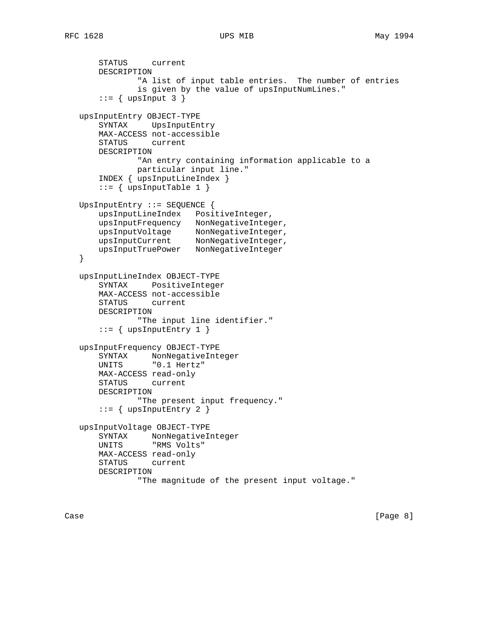```
 STATUS current
       DESCRIPTION
               "A list of input table entries. The number of entries
               is given by the value of upsInputNumLines."
      ::= { upsInput 3 }
   upsInputEntry OBJECT-TYPE
       SYNTAX UpsInputEntry
       MAX-ACCESS not-accessible
       STATUS current
       DESCRIPTION
               "An entry containing information applicable to a
               particular input line."
       INDEX { upsInputLineIndex }
      ::= { upsInputTable 1 }
   UpsInputEntry ::= SEQUENCE {
       upsInputLineIndex PositiveInteger,
       upsInputFrequency NonNegativeInteger,
 upsInputVoltage NonNegativeInteger,
 upsInputCurrent NonNegativeInteger,
       upsInputTruePower NonNegativeInteger
   }
   upsInputLineIndex OBJECT-TYPE
       SYNTAX PositiveInteger
       MAX-ACCESS not-accessible
       STATUS current
       DESCRIPTION
               "The input line identifier."
      ::= { upsInputEntry 1 }
   upsInputFrequency OBJECT-TYPE
       SYNTAX NonNegativeInteger
       UNITS "0.1 Hertz"
       MAX-ACCESS read-only
       STATUS current
       DESCRIPTION
              "The present input frequency."
      ::= { upsInputEntry 2 }
   upsInputVoltage OBJECT-TYPE
       SYNTAX NonNegativeInteger
       UNITS "RMS Volts"
       MAX-ACCESS read-only
       STATUS current
       DESCRIPTION
               "The magnitude of the present input voltage."
```
Case [Page 8]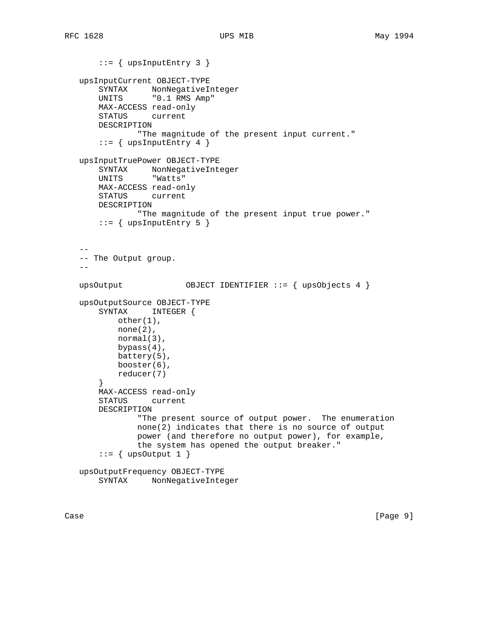```
::= { upsInputEntry 3 }
   upsInputCurrent OBJECT-TYPE
 SYNTAX NonNegativeInteger
 UNITS "0.1 RMS Amp"
       MAX-ACCESS read-only
       STATUS current
       DESCRIPTION
               "The magnitude of the present input current."
      ::= { upsInputEntry 4 }
   upsInputTruePower OBJECT-TYPE
       SYNTAX NonNegativeInteger
       UNITS "Watts"
       MAX-ACCESS read-only
       STATUS current
       DESCRIPTION
              "The magnitude of the present input true power."
      ::= { upsInputEntry 5 }
 --
   -- The Output group.
  - upsOutput OBJECT IDENTIFIER ::= { upsObjects 4 }
   upsOutputSource OBJECT-TYPE
       SYNTAX INTEGER {
           other(1),
           none(2),
           normal(3),
           bypass(4),
           battery(5),
           booster(6),
           reducer(7)
       }
       MAX-ACCESS read-only
       STATUS current
       DESCRIPTION
               "The present source of output power. The enumeration
               none(2) indicates that there is no source of output
               power (and therefore no output power), for example,
               the system has opened the output breaker."
      ::= { upsOutput 1 }
   upsOutputFrequency OBJECT-TYPE
       SYNTAX NonNegativeInteger
```
Case [Page 9]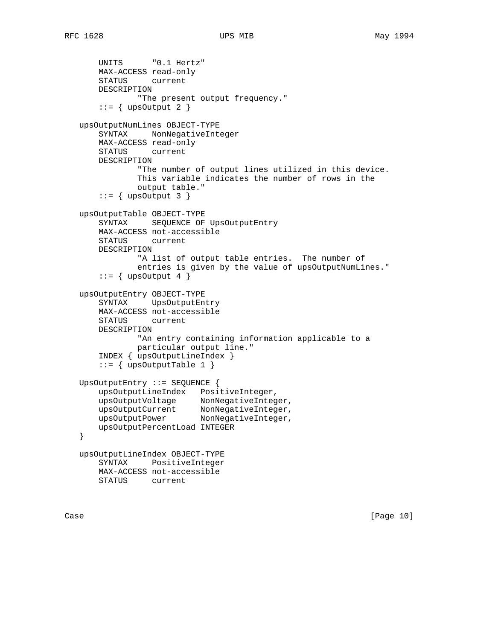```
 UNITS "0.1 Hertz"
       MAX-ACCESS read-only
       STATUS current
       DESCRIPTION
               "The present output frequency."
      ::= { upsOutput 2 }
   upsOutputNumLines OBJECT-TYPE
       SYNTAX NonNegativeInteger
       MAX-ACCESS read-only
       STATUS current
       DESCRIPTION
               "The number of output lines utilized in this device.
               This variable indicates the number of rows in the
               output table."
      ::= { upsOutput 3 }
   upsOutputTable OBJECT-TYPE
       SYNTAX SEQUENCE OF UpsOutputEntry
       MAX-ACCESS not-accessible
       STATUS current
       DESCRIPTION
               "A list of output table entries. The number of
               entries is given by the value of upsOutputNumLines."
      ::= { upsOutput 4 }
   upsOutputEntry OBJECT-TYPE
       SYNTAX UpsOutputEntry
       MAX-ACCESS not-accessible
       STATUS current
       DESCRIPTION
               "An entry containing information applicable to a
               particular output line."
       INDEX { upsOutputLineIndex }
      ::= { upsOutputTable 1 }
   UpsOutputEntry ::= SEQUENCE {
       upsOutputLineIndex PositiveInteger,
 upsOutputVoltage NonNegativeInteger,
 upsOutputCurrent NonNegativeInteger,
 upsOutputPower NonNegativeInteger,
       upsOutputPercentLoad INTEGER
   }
   upsOutputLineIndex OBJECT-TYPE
       SYNTAX PositiveInteger
       MAX-ACCESS not-accessible
       STATUS current
```
Case [Page 10]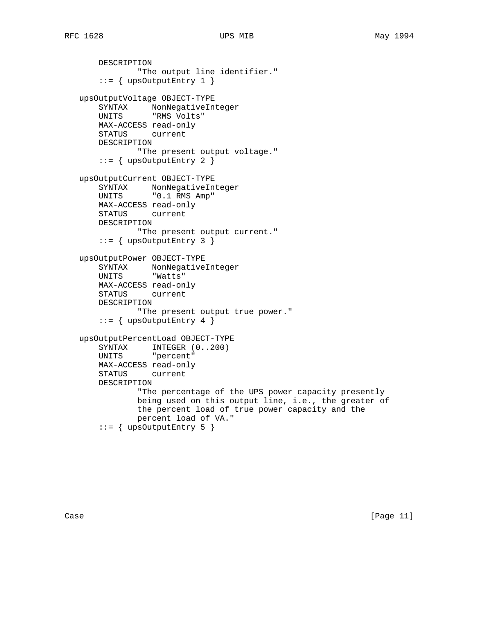DESCRIPTION

```
 "The output line identifier."
      ::= { upsOutputEntry 1 }
   upsOutputVoltage OBJECT-TYPE
      SYNTAX NonNegativeInteger<br>UNITS "RMS Volts"
                "RMS Volts"
       MAX-ACCESS read-only
       STATUS current
       DESCRIPTION
               "The present output voltage."
      ::= { upsOutputEntry 2 }
   upsOutputCurrent OBJECT-TYPE
 SYNTAX NonNegativeInteger
 UNITS "0.1 RMS Amp"
       MAX-ACCESS read-only
       STATUS current
       DESCRIPTION
               "The present output current."
      ::= { upsOutputEntry 3 }
   upsOutputPower OBJECT-TYPE
 SYNTAX NonNegativeInteger
 UNITS "Watts"
       MAX-ACCESS read-only
       STATUS current
       DESCRIPTION
               "The present output true power."
      ::= { upsOutputEntry 4 }
   upsOutputPercentLoad OBJECT-TYPE
       SYNTAX INTEGER (0..200)
       UNITS "percent"
       MAX-ACCESS read-only
       STATUS current
       DESCRIPTION
               "The percentage of the UPS power capacity presently
               being used on this output line, i.e., the greater of
               the percent load of true power capacity and the
               percent load of VA."
      ::= { upsOutputEntry 5 }
```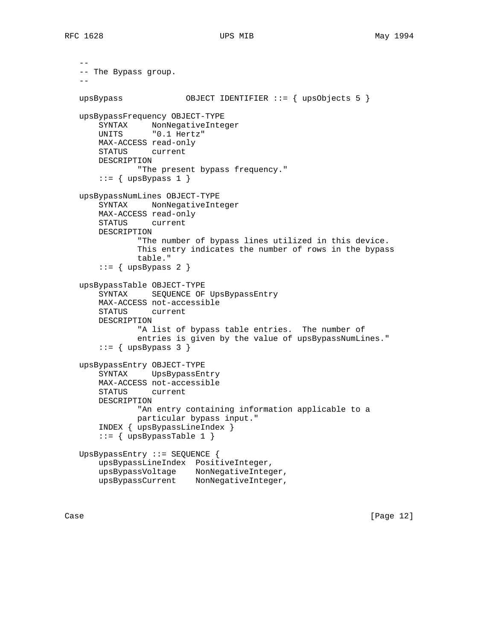```
 --
   -- The Bypass group.
- upsBypass OBJECT IDENTIFIER ::= { upsObjects 5 }
   upsBypassFrequency OBJECT-TYPE
       SYNTAX NonNegativeInteger
       UNITS "0.1 Hertz"
       MAX-ACCESS read-only
       STATUS current
       DESCRIPTION
               "The present bypass frequency."
      ::= { upsBypass 1 }
   upsBypassNumLines OBJECT-TYPE
       SYNTAX NonNegativeInteger
       MAX-ACCESS read-only
       STATUS current
       DESCRIPTION
               "The number of bypass lines utilized in this device.
               This entry indicates the number of rows in the bypass
               table."
      ::= { upsBypass 2 }
   upsBypassTable OBJECT-TYPE
       SYNTAX SEQUENCE OF UpsBypassEntry
       MAX-ACCESS not-accessible
       STATUS current
       DESCRIPTION
              "A list of bypass table entries. The number of
               entries is given by the value of upsBypassNumLines."
      ::= { upsBypass 3 }
   upsBypassEntry OBJECT-TYPE
       SYNTAX UpsBypassEntry
       MAX-ACCESS not-accessible
       STATUS current
       DESCRIPTION
               "An entry containing information applicable to a
               particular bypass input."
       INDEX { upsBypassLineIndex }
       ::= { upsBypassTable 1 }
   UpsBypassEntry ::= SEQUENCE {
       upsBypassLineIndex PositiveInteger,
 upsBypassVoltage NonNegativeInteger,
 upsBypassCurrent NonNegativeInteger,
```
Case [Page 12]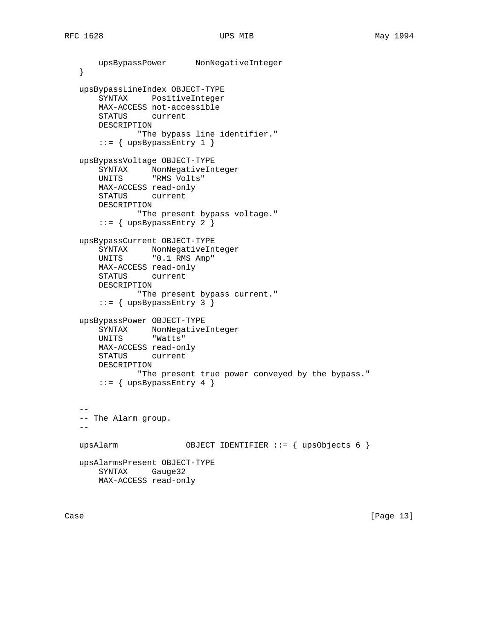```
 upsBypassPower NonNegativeInteger
   }
   upsBypassLineIndex OBJECT-TYPE
       SYNTAX PositiveInteger
       MAX-ACCESS not-accessible
       STATUS current
       DESCRIPTION
               "The bypass line identifier."
       ::= { upsBypassEntry 1 }
   upsBypassVoltage OBJECT-TYPE
 SYNTAX NonNegativeInteger
 UNITS "RMS Volts"
       MAX-ACCESS read-only
       STATUS current
       DESCRIPTION
              "The present bypass voltage."
       ::= { upsBypassEntry 2 }
   upsBypassCurrent OBJECT-TYPE
       SYNTAX NonNegativeInteger
       UNITS "0.1 RMS Amp"
      MAX-ACCESS read-only<br>STATUS current
              current
       DESCRIPTION
               "The present bypass current."
       ::= { upsBypassEntry 3 }
   upsBypassPower OBJECT-TYPE
       SYNTAX NonNegativeInteger
       UNITS "Watts"
       MAX-ACCESS read-only
       STATUS current
       DESCRIPTION
               "The present true power conveyed by the bypass."
      ::= { upsBypassEntry 4 }
 --
   -- The Alarm group.
  - - upsAlarm OBJECT IDENTIFIER ::= { upsObjects 6 }
   upsAlarmsPresent OBJECT-TYPE
       SYNTAX Gauge32
       MAX-ACCESS read-only
```
Case [Page 13]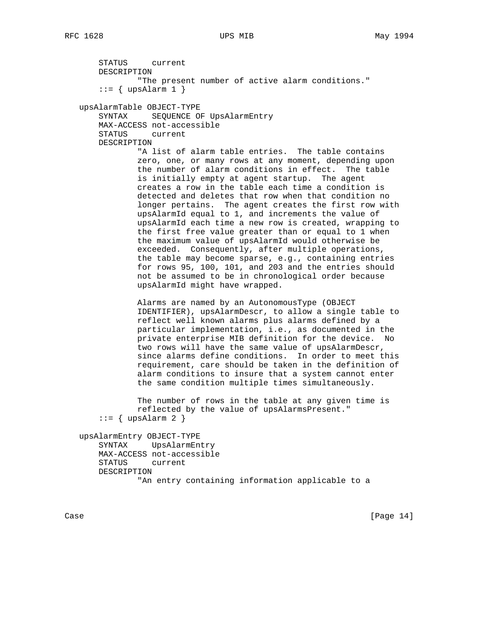STATUS current DESCRIPTION "The present number of active alarm conditions."  $::=$  { upsAlarm 1 } upsAlarmTable OBJECT-TYPE SYNTAX SEQUENCE OF UpsAlarmEntry MAX-ACCESS not-accessible STATUS current DESCRIPTION "A list of alarm table entries. The table contains zero, one, or many rows at any moment, depending upon the number of alarm conditions in effect. The table is initially empty at agent startup. The agent creates a row in the table each time a condition is detected and deletes that row when that condition no longer pertains. The agent creates the first row with upsAlarmId equal to 1, and increments the value of upsAlarmId each time a new row is created, wrapping to the first free value greater than or equal to 1 when the maximum value of upsAlarmId would otherwise be exceeded. Consequently, after multiple operations, the table may become sparse, e.g., containing entries for rows 95, 100, 101, and 203 and the entries should not be assumed to be in chronological order because upsAlarmId might have wrapped. Alarms are named by an AutonomousType (OBJECT IDENTIFIER), upsAlarmDescr, to allow a single table to reflect well known alarms plus alarms defined by a particular implementation, i.e., as documented in the private enterprise MIB definition for the device. No two rows will have the same value of upsAlarmDescr, since alarms define conditions. In order to meet this requirement, care should be taken in the definition of alarm conditions to insure that a system cannot enter the same condition multiple times simultaneously. The number of rows in the table at any given time is reflected by the value of upsAlarmsPresent."  $::=$  { upsAlarm 2 } upsAlarmEntry OBJECT-TYPE SYNTAX UpsAlarmEntry MAX-ACCESS not-accessible STATUS current DESCRIPTION "An entry containing information applicable to a

Case [Page 14]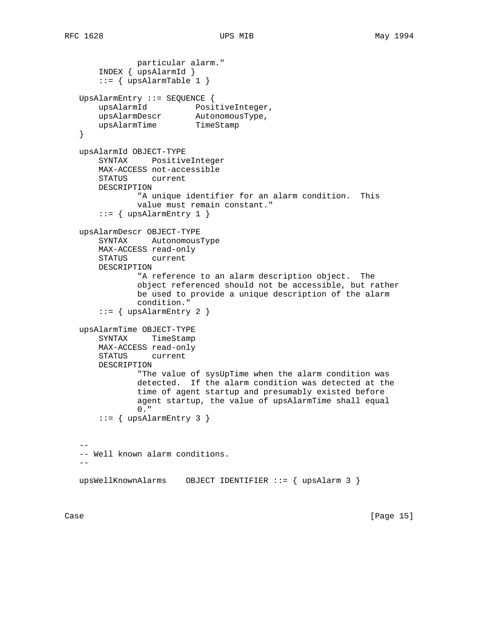```
 particular alarm."
       INDEX { upsAlarmId }
       ::= { upsAlarmTable 1 }
   UpsAlarmEntry ::= SEQUENCE {
       upsAlarmId PositiveInteger,
       upsAlarmDescr AutonomousType,
      upsAlarmTime TimeStamp
   }
   upsAlarmId OBJECT-TYPE
       SYNTAX PositiveInteger
       MAX-ACCESS not-accessible
       STATUS current
       DESCRIPTION
               "A unique identifier for an alarm condition. This
               value must remain constant."
      ::= { upsAlarmEntry 1 }
   upsAlarmDescr OBJECT-TYPE
       SYNTAX AutonomousType
       MAX-ACCESS read-only
       STATUS current
       DESCRIPTION
               "A reference to an alarm description object. The
               object referenced should not be accessible, but rather
               be used to provide a unique description of the alarm
               condition."
      ::= { upsAlarmEntry 2 }
   upsAlarmTime OBJECT-TYPE
       SYNTAX TimeStamp
       MAX-ACCESS read-only
       STATUS current
       DESCRIPTION
               "The value of sysUpTime when the alarm condition was
               detected. If the alarm condition was detected at the
               time of agent startup and presumably existed before
               agent startup, the value of upsAlarmTime shall equal
               0."
      ::= { upsAlarmEntry 3 }
 --
   -- Well known alarm conditions.
  - upsWellKnownAlarms OBJECT IDENTIFIER ::= { upsAlarm 3 }
```
Case [Page 15]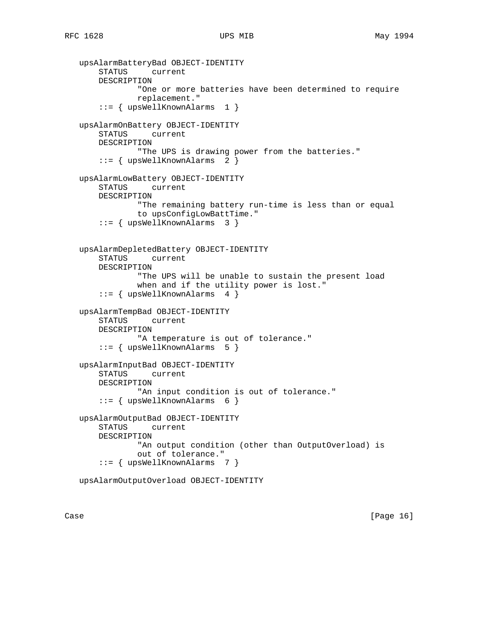```
 upsAlarmBatteryBad OBJECT-IDENTITY
     STATUS current
    DESCRIPTION
             "One or more batteries have been determined to require
             replacement."
     ::= { upsWellKnownAlarms 1 }
 upsAlarmOnBattery OBJECT-IDENTITY
    STATUS current
    DESCRIPTION
             "The UPS is drawing power from the batteries."
     ::= { upsWellKnownAlarms 2 }
 upsAlarmLowBattery OBJECT-IDENTITY
    STATUS current
    DESCRIPTION
             "The remaining battery run-time is less than or equal
             to upsConfigLowBattTime."
     ::= { upsWellKnownAlarms 3 }
 upsAlarmDepletedBattery OBJECT-IDENTITY
    STATUS current
    DESCRIPTION
             "The UPS will be unable to sustain the present load
             when and if the utility power is lost."
     ::= { upsWellKnownAlarms 4 }
 upsAlarmTempBad OBJECT-IDENTITY
     STATUS current
    DESCRIPTION
             "A temperature is out of tolerance."
     ::= { upsWellKnownAlarms 5 }
 upsAlarmInputBad OBJECT-IDENTITY
    STATUS current
    DESCRIPTION
             "An input condition is out of tolerance."
     ::= { upsWellKnownAlarms 6 }
 upsAlarmOutputBad OBJECT-IDENTITY
    STATUS current
    DESCRIPTION
             "An output condition (other than OutputOverload) is
             out of tolerance."
     ::= { upsWellKnownAlarms 7 }
```
upsAlarmOutputOverload OBJECT-IDENTITY

Case [Page 16]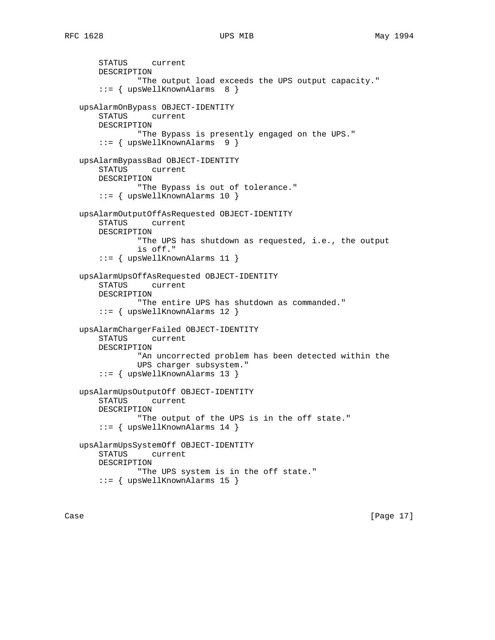STATUS current DESCRIPTION "The output load exceeds the UPS output capacity." ::= { upsWellKnownAlarms 8 } upsAlarmOnBypass OBJECT-IDENTITY STATUS current DESCRIPTION "The Bypass is presently engaged on the UPS." ::= { upsWellKnownAlarms 9 } upsAlarmBypassBad OBJECT-IDENTITY current DESCRIPTION "The Bypass is out of tolerance." ::= { upsWellKnownAlarms 10 } upsAlarmOutputOffAsRequested OBJECT-IDENTITY STATUS current DESCRIPTION "The UPS has shutdown as requested, i.e., the output is off." ::= { upsWellKnownAlarms 11 } upsAlarmUpsOffAsRequested OBJECT-IDENTITY STATUS current DESCRIPTION "The entire UPS has shutdown as commanded." ::= { upsWellKnownAlarms 12 } upsAlarmChargerFailed OBJECT-IDENTITY STATUS current DESCRIPTION "An uncorrected problem has been detected within the UPS charger subsystem." ::= { upsWellKnownAlarms 13 } upsAlarmUpsOutputOff OBJECT-IDENTITY STATUS current DESCRIPTION "The output of the UPS is in the off state." ::= { upsWellKnownAlarms 14 } upsAlarmUpsSystemOff OBJECT-IDENTITY STATUS current DESCRIPTION "The UPS system is in the off state." ::= { upsWellKnownAlarms 15 }

Case [Page 17]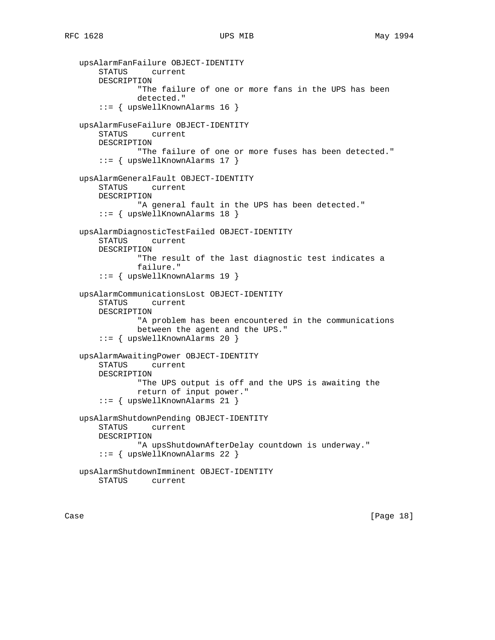```
 upsAlarmFanFailure OBJECT-IDENTITY
     STATUS current
    DESCRIPTION
             "The failure of one or more fans in the UPS has been
             detected."
     ::= { upsWellKnownAlarms 16 }
 upsAlarmFuseFailure OBJECT-IDENTITY
    STATUS current
    DESCRIPTION
             "The failure of one or more fuses has been detected."
     ::= { upsWellKnownAlarms 17 }
 upsAlarmGeneralFault OBJECT-IDENTITY
    STATUS current
    DESCRIPTION
             "A general fault in the UPS has been detected."
     ::= { upsWellKnownAlarms 18 }
 upsAlarmDiagnosticTestFailed OBJECT-IDENTITY
    STATUS current
    DESCRIPTION
             "The result of the last diagnostic test indicates a
             failure."
     ::= { upsWellKnownAlarms 19 }
 upsAlarmCommunicationsLost OBJECT-IDENTITY
     STATUS current
    DESCRIPTION
             "A problem has been encountered in the communications
             between the agent and the UPS."
     ::= { upsWellKnownAlarms 20 }
 upsAlarmAwaitingPower OBJECT-IDENTITY
    STATUS current
    DESCRIPTION
             "The UPS output is off and the UPS is awaiting the
             return of input power."
     ::= { upsWellKnownAlarms 21 }
 upsAlarmShutdownPending OBJECT-IDENTITY
    STATUS current
    DESCRIPTION
             "A upsShutdownAfterDelay countdown is underway."
     ::= { upsWellKnownAlarms 22 }
 upsAlarmShutdownImminent OBJECT-IDENTITY
    STATUS current
```
Case [Page 18]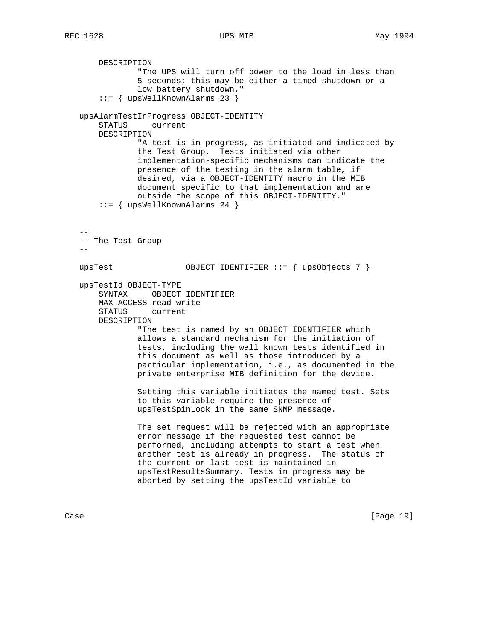DESCRIPTION "The UPS will turn off power to the load in less than 5 seconds; this may be either a timed shutdown or a low battery shutdown." ::= { upsWellKnownAlarms 23 } upsAlarmTestInProgress OBJECT-IDENTITY STATUS current DESCRIPTION "A test is in progress, as initiated and indicated by the Test Group. Tests initiated via other implementation-specific mechanisms can indicate the presence of the testing in the alarm table, if desired, via a OBJECT-IDENTITY macro in the MIB document specific to that implementation and are outside the scope of this OBJECT-IDENTITY." ::= { upsWellKnownAlarms 24 } -- -- The Test Group  $$  upsTest OBJECT IDENTIFIER ::= { upsObjects 7 } upsTestId OBJECT-TYPE SYNTAX OBJECT IDENTIFIER MAX-ACCESS read-write STATUS current DESCRIPTION "The test is named by an OBJECT IDENTIFIER which allows a standard mechanism for the initiation of tests, including the well known tests identified in this document as well as those introduced by a particular implementation, i.e., as documented in the private enterprise MIB definition for the device. Setting this variable initiates the named test. Sets to this variable require the presence of upsTestSpinLock in the same SNMP message. The set request will be rejected with an appropriate error message if the requested test cannot be performed, including attempts to start a test when another test is already in progress. The status of the current or last test is maintained in upsTestResultsSummary. Tests in progress may be aborted by setting the upsTestId variable to

Case [Page 19]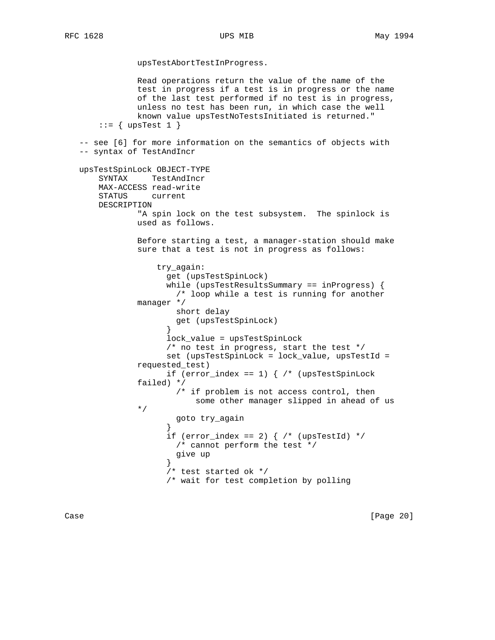upsTestAbortTestInProgress.

 Read operations return the value of the name of the test in progress if a test is in progress or the name of the last test performed if no test is in progress, unless no test has been run, in which case the well known value upsTestNoTestsInitiated is returned."  $::=$  { upsTest 1 } -- see [6] for more information on the semantics of objects with -- syntax of TestAndIncr upsTestSpinLock OBJECT-TYPE SYNTAX TestAndIncr MAX-ACCESS read-write STATUS current DESCRIPTION "A spin lock on the test subsystem. The spinlock is used as follows. Before starting a test, a manager-station should make sure that a test is not in progress as follows: try\_again: get (upsTestSpinLock) while (upsTestResultsSummary == inProgress) { /\* loop while a test is running for another manager \*/ short delay get (upsTestSpinLock) } lock\_value = upsTestSpinLock /\* no test in progress, start the test \*/ set (upsTestSpinLock = lock\_value, upsTestId = requested\_test) if (error\_index == 1)  $\frac{1}{3}$  /\* (upsTestSpinLock failed) \*/ /\* if problem is not access control, then some other manager slipped in ahead of us \*/ \*/ goto try\_again } if (error\_index == 2)  $\frac{1}{2}$  /\* (upsTestId) \*/ /\* cannot perform the test \*/ give up } /\* test started ok \*/ /\* wait for test completion by polling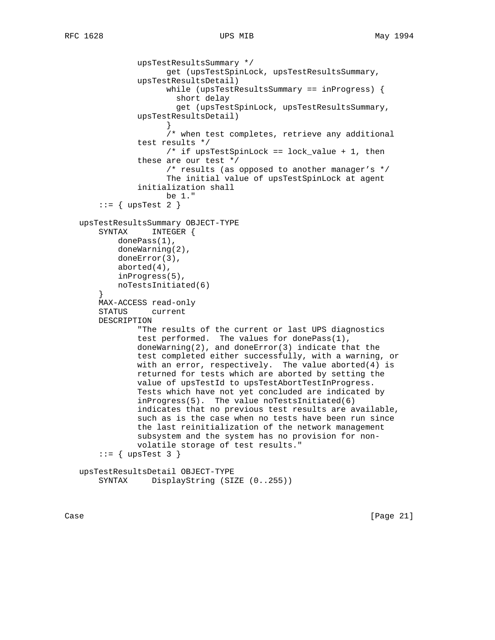```
 upsTestResultsSummary */
                      get (upsTestSpinLock, upsTestResultsSummary,
                upsTestResultsDetail)
                      while (upsTestResultsSummary == inProgress) {
                        short delay
                        get (upsTestSpinLock, upsTestResultsSummary,
                upsTestResultsDetail)
 }
                      /* when test completes, retrieve any additional
                test results */
                      /* if upsTestSpinLock == lock_value + 1, then
                these are our test */
                      /* results (as opposed to another manager's */
                      The initial value of upsTestSpinLock at agent
                initialization shall
                      be 1."
        ::= { upsTest 2 }
   upsTestResultsSummary OBJECT-TYPE
       SYNTAX INTEGER {
           donePass(1),
           doneWarning(2),
           doneError(3),
           aborted(4),
           inProgress(5),
           noTestsInitiated(6)
        }
       MAX-ACCESS read-only
       STATUS current
       DESCRIPTION
                "The results of the current or last UPS diagnostics
                test performed. The values for donePass(1),
                doneWarning(2), and doneError(3) indicate that the
                test completed either successfully, with a warning, or
                with an error, respectively. The value aborted(4) is
                returned for tests which are aborted by setting the
                value of upsTestId to upsTestAbortTestInProgress.
                Tests which have not yet concluded are indicated by
                inProgress(5). The value noTestsInitiated(6)
                indicates that no previous test results are available,
                such as is the case when no tests have been run since
                the last reinitialization of the network management
                subsystem and the system has no provision for non-
                volatile storage of test results."
       ::= { upsTest 3 }
   upsTestResultsDetail OBJECT-TYPE
```

```
 SYNTAX DisplayString (SIZE (0..255))
```
Case [Page 21]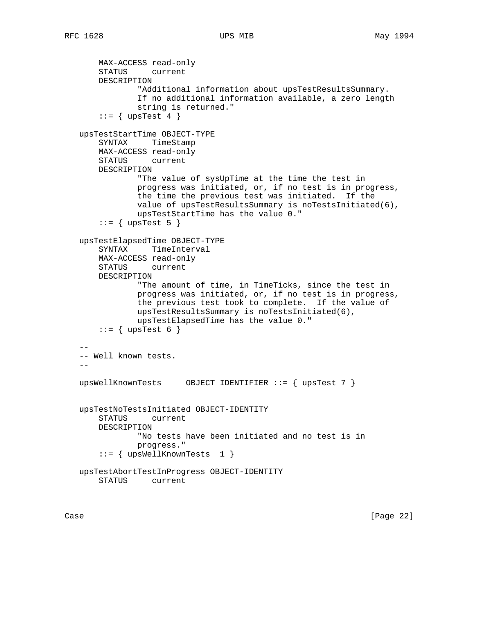```
 MAX-ACCESS read-only
       STATUS current
       DESCRIPTION
                "Additional information about upsTestResultsSummary.
               If no additional information available, a zero length
               string is returned."
       ::= { upsTest 4 }
   upsTestStartTime OBJECT-TYPE
       SYNTAX TimeStamp
       MAX-ACCESS read-only
       STATUS current
       DESCRIPTION
               "The value of sysUpTime at the time the test in
               progress was initiated, or, if no test is in progress,
               the time the previous test was initiated. If the
               value of upsTestResultsSummary is noTestsInitiated(6),
               upsTestStartTime has the value 0."
       ::= { upsTest 5 }
   upsTestElapsedTime OBJECT-TYPE
       SYNTAX TimeInterval
       MAX-ACCESS read-only
       STATUS current
       DESCRIPTION
               "The amount of time, in TimeTicks, since the test in
               progress was initiated, or, if no test is in progress,
               the previous test took to complete. If the value of
               upsTestResultsSummary is noTestsInitiated(6),
               upsTestElapsedTime has the value 0."
       ::= { upsTest 6 }
- -- Well known tests.
 --
   upsWellKnownTests OBJECT IDENTIFIER ::= { upsTest 7 }
   upsTestNoTestsInitiated OBJECT-IDENTITY
       STATUS current
       DESCRIPTION
               "No tests have been initiated and no test is in
               progress."
        ::= { upsWellKnownTests 1 }
   upsTestAbortTestInProgress OBJECT-IDENTITY
       STATUS current
```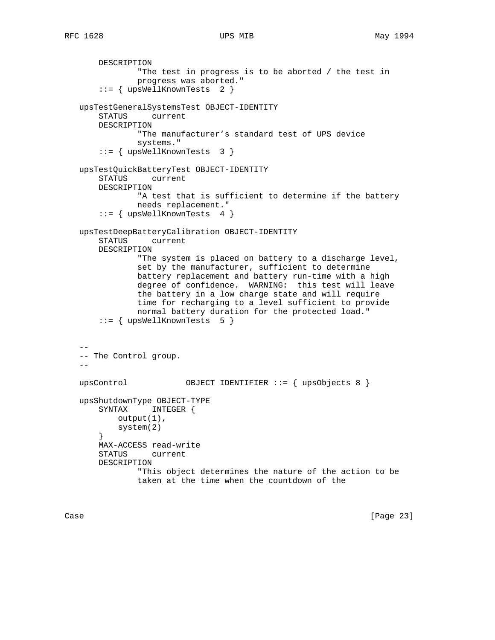```
 DESCRIPTION
                "The test in progress is to be aborted / the test in
               progress was aborted."
        ::= { upsWellKnownTests 2 }
   upsTestGeneralSystemsTest OBJECT-IDENTITY
       STATUS current
       DESCRIPTION
               "The manufacturer's standard test of UPS device
               systems."
        ::= { upsWellKnownTests 3 }
   upsTestQuickBatteryTest OBJECT-IDENTITY
       STATUS current
       DESCRIPTION
               "A test that is sufficient to determine if the battery
               needs replacement."
        ::= { upsWellKnownTests 4 }
   upsTestDeepBatteryCalibration OBJECT-IDENTITY
       STATUS current
       DESCRIPTION
                "The system is placed on battery to a discharge level,
                set by the manufacturer, sufficient to determine
               battery replacement and battery run-time with a high
               degree of confidence. WARNING: this test will leave
               the battery in a low charge state and will require
               time for recharging to a level sufficient to provide
               normal battery duration for the protected load."
        ::= { upsWellKnownTests 5 }
- -- The Control group.
  - - upsControl OBJECT IDENTIFIER ::= { upsObjects 8 }
   upsShutdownType OBJECT-TYPE
       SYNTAX INTEGER {
           output(1),
           system(2)
        }
       MAX-ACCESS read-write
       STATUS current
       DESCRIPTION
                "This object determines the nature of the action to be
                taken at the time when the countdown of the
```
Case [Page 23]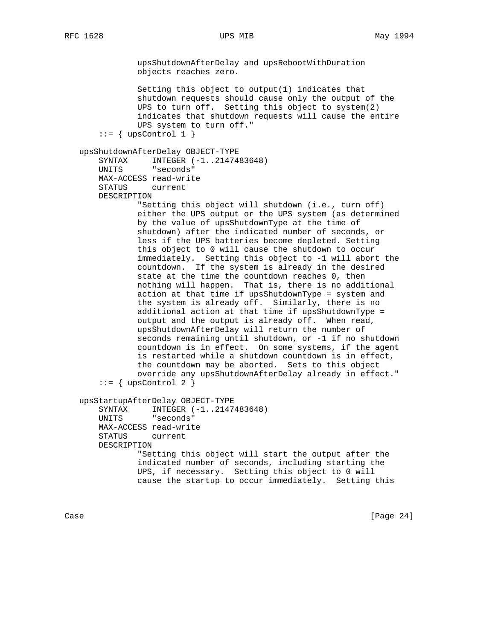upsShutdownAfterDelay and upsRebootWithDuration objects reaches zero. Setting this object to output(1) indicates that shutdown requests should cause only the output of the UPS to turn off. Setting this object to system(2) indicates that shutdown requests will cause the entire UPS system to turn off."  $::=$  { upsControl 1 } upsShutdownAfterDelay OBJECT-TYPE SYNTAX INTEGER (-1..2147483648) UNITS "seconds" MAX-ACCESS read-write STATUS current DESCRIPTION "Setting this object will shutdown (i.e., turn off) either the UPS output or the UPS system (as determined by the value of upsShutdownType at the time of shutdown) after the indicated number of seconds, or less if the UPS batteries become depleted. Setting this object to 0 will cause the shutdown to occur immediately. Setting this object to -1 will abort the countdown. If the system is already in the desired state at the time the countdown reaches 0, then nothing will happen. That is, there is no additional action at that time if upsShutdownType = system and the system is already off. Similarly, there is no additional action at that time if upsShutdownType = output and the output is already off. When read, upsShutdownAfterDelay will return the number of seconds remaining until shutdown, or -1 if no shutdown countdown is in effect. On some systems, if the agent is restarted while a shutdown countdown is in effect, the countdown may be aborted. Sets to this object override any upsShutdownAfterDelay already in effect."  $::=$  { upsControl 2 } upsStartupAfterDelay OBJECT-TYPE SYNTAX INTEGER (-1..2147483648) UNITS "seconds" MAX-ACCESS read-write STATUS current DESCRIPTION "Setting this object will start the output after the indicated number of seconds, including starting the UPS, if necessary. Setting this object to 0 will cause the startup to occur immediately. Setting this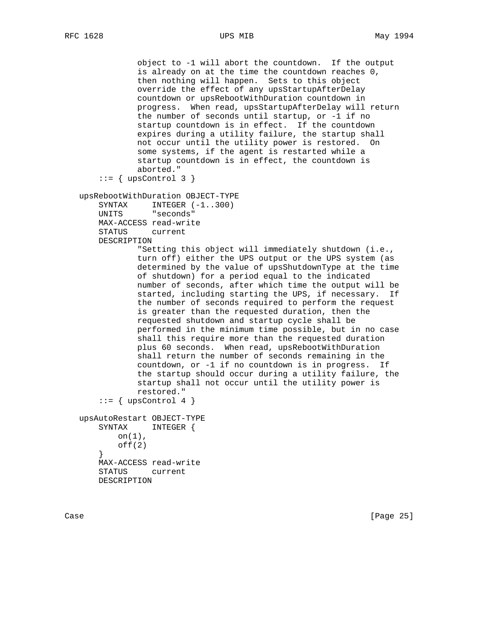```
 object to -1 will abort the countdown. If the output
             is already on at the time the countdown reaches 0,
             then nothing will happen. Sets to this object
             override the effect of any upsStartupAfterDelay
             countdown or upsRebootWithDuration countdown in
             progress. When read, upsStartupAfterDelay will return
             the number of seconds until startup, or -1 if no
             startup countdown is in effect. If the countdown
             expires during a utility failure, the startup shall
             not occur until the utility power is restored. On
             some systems, if the agent is restarted while a
             startup countdown is in effect, the countdown is
             aborted."
    ::= { upsControl 3 }
 upsRebootWithDuration OBJECT-TYPE
   SYNTAX INTEGER (-1..300)
    UNITS "seconds"
    MAX-ACCESS read-write
     STATUS current
    DESCRIPTION
             "Setting this object will immediately shutdown (i.e.,
             turn off) either the UPS output or the UPS system (as
             determined by the value of upsShutdownType at the time
             of shutdown) for a period equal to the indicated
             number of seconds, after which time the output will be
             started, including starting the UPS, if necessary. If
             the number of seconds required to perform the request
             is greater than the requested duration, then the
             requested shutdown and startup cycle shall be
             performed in the minimum time possible, but in no case
             shall this require more than the requested duration
             plus 60 seconds. When read, upsRebootWithDuration
             shall return the number of seconds remaining in the
             countdown, or -1 if no countdown is in progress. If
             the startup should occur during a utility failure, the
             startup shall not occur until the utility power is
             restored."
    ::= { upsControl 4 }
 upsAutoRestart OBJECT-TYPE
    SYNTAX INTEGER {
       on(1),
        off(2) }
    MAX-ACCESS read-write
    STATUS current
    DESCRIPTION
```
Case [Page 25]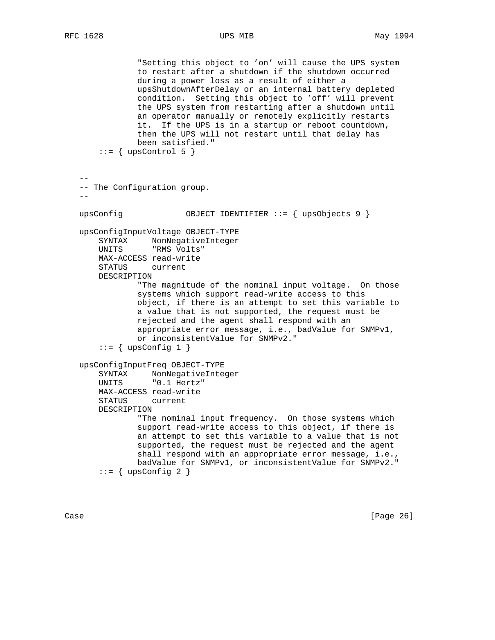"Setting this object to 'on' will cause the UPS system to restart after a shutdown if the shutdown occurred during a power loss as a result of either a upsShutdownAfterDelay or an internal battery depleted condition. Setting this object to 'off' will prevent the UPS system from restarting after a shutdown until an operator manually or remotely explicitly restarts it. If the UPS is in a startup or reboot countdown, then the UPS will not restart until that delay has been satisfied."  $::=$  { upsControl 5 } -- -- The Configuration group. - upsConfig OBJECT IDENTIFIER ::= { upsObjects 9 } upsConfigInputVoltage OBJECT-TYPE SYNTAX NonNegativeInteger UNITS "RMS Volts" MAX-ACCESS read-write STATUS current DESCRIPTION "The magnitude of the nominal input voltage. On those systems which support read-write access to this object, if there is an attempt to set this variable to a value that is not supported, the request must be rejected and the agent shall respond with an appropriate error message, i.e., badValue for SNMPv1, or inconsistentValue for SNMPv2."  $::=$  { upsConfig 1 } upsConfigInputFreq OBJECT-TYPE SYNTAX NonNegativeInteger UNITS "0.1 Hertz" MAX-ACCESS read-write STATUS current DESCRIPTION "The nominal input frequency. On those systems which support read-write access to this object, if there is an attempt to set this variable to a value that is not supported, the request must be rejected and the agent shall respond with an appropriate error message, i.e., badValue for SNMPv1, or inconsistentValue for SNMPv2."  $::=$  { upsConfig 2 }

Case [Page 26]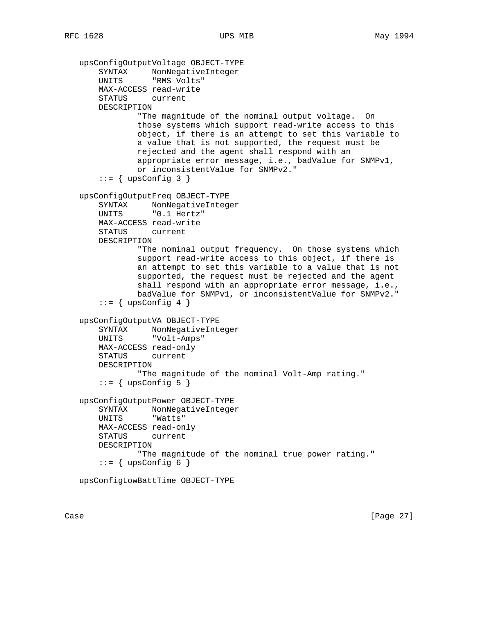```
 upsConfigOutputVoltage OBJECT-TYPE
     SYNTAX NonNegativeInteger
     UNITS "RMS Volts"
    MAX-ACCESS read-write
    STATUS current
    DESCRIPTION
             "The magnitude of the nominal output voltage. On
             those systems which support read-write access to this
             object, if there is an attempt to set this variable to
             a value that is not supported, the request must be
            rejected and the agent shall respond with an
             appropriate error message, i.e., badValue for SNMPv1,
            or inconsistentValue for SNMPv2."
    ::= { upsConfig 3 }
 upsConfigOutputFreq OBJECT-TYPE
    SYNTAX NonNegativeInteger
    UNITS "0.1 Hertz"
    MAX-ACCESS read-write
    STATUS current
    DESCRIPTION
             "The nominal output frequency. On those systems which
             support read-write access to this object, if there is
            an attempt to set this variable to a value that is not
            supported, the request must be rejected and the agent
             shall respond with an appropriate error message, i.e.,
            badValue for SNMPv1, or inconsistentValue for SNMPv2."
    ::= { upsConfig 4 }
 upsConfigOutputVA OBJECT-TYPE
    SYNTAX NonNegativeInteger
    UNITS "Volt-Amps"
    MAX-ACCESS read-only
    STATUS current
    DESCRIPTION
             "The magnitude of the nominal Volt-Amp rating."
    ::= { upsConfig 5 }
 upsConfigOutputPower OBJECT-TYPE
    SYNTAX NonNegativeInteger
    UNITS "Watts"
    MAX-ACCESS read-only
    STATUS current
    DESCRIPTION
             "The magnitude of the nominal true power rating."
    ::= { upsConfig 6 }
 upsConfigLowBattTime OBJECT-TYPE
```
Case [Page 27]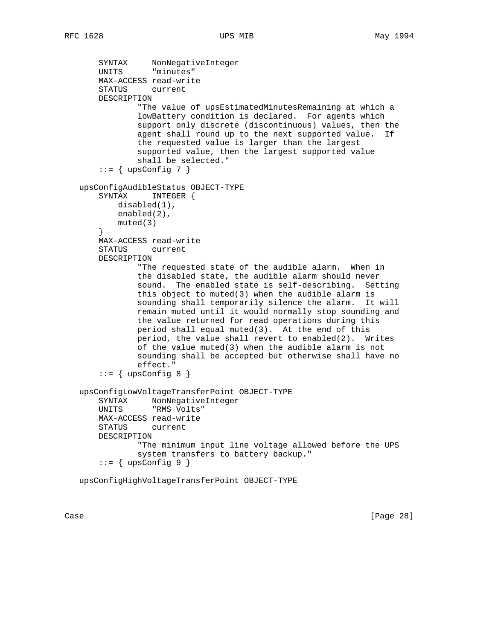```
 SYNTAX NonNegativeInteger
       UNITS "minutes"
       MAX-ACCESS read-write
       STATUS current
       DESCRIPTION
                "The value of upsEstimatedMinutesRemaining at which a
               lowBattery condition is declared. For agents which
               support only discrete (discontinuous) values, then the
               agent shall round up to the next supported value. If
               the requested value is larger than the largest
               supported value, then the largest supported value
               shall be selected."
      ::= { upsConfig 7 }
   upsConfigAudibleStatus OBJECT-TYPE
       SYNTAX INTEGER {
           disabled(1),
           enabled(2),
           muted(3)
 }
       MAX-ACCESS read-write
       STATUS current
       DESCRIPTION
                "The requested state of the audible alarm. When in
               the disabled state, the audible alarm should never
               sound. The enabled state is self-describing. Setting
               this object to muted(3) when the audible alarm is
               sounding shall temporarily silence the alarm. It will
               remain muted until it would normally stop sounding and
               the value returned for read operations during this
               period shall equal muted(3). At the end of this
               period, the value shall revert to enabled(2). Writes
               of the value muted(3) when the audible alarm is not
               sounding shall be accepted but otherwise shall have no
               effect."
      ::= { upsConfig 8 }
   upsConfigLowVoltageTransferPoint OBJECT-TYPE
       SYNTAX NonNegativeInteger
       UNITS "RMS Volts"
       MAX-ACCESS read-write
       STATUS current
       DESCRIPTION
                "The minimum input line voltage allowed before the UPS
               system transfers to battery backup."
      ::= { upsConfig 9 }
```
upsConfigHighVoltageTransferPoint OBJECT-TYPE

Case [Page 28]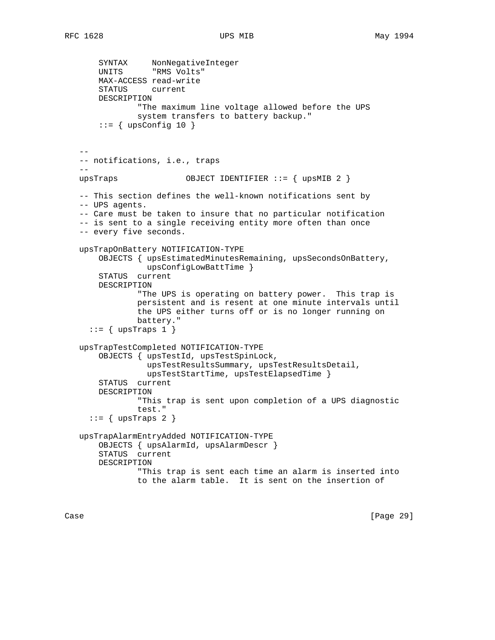```
 SYNTAX NonNegativeInteger
 UNITS "RMS Volts"
       MAX-ACCESS read-write
       STATUS current
       DESCRIPTION
               "The maximum line voltage allowed before the UPS
               system transfers to battery backup."
      ::= { upsConfig 10 }
 --
   -- notifications, i.e., traps
  - upsTraps OBJECT IDENTIFIER ::= { upsMIB 2 }
   -- This section defines the well-known notifications sent by
   -- UPS agents.
   -- Care must be taken to insure that no particular notification
   -- is sent to a single receiving entity more often than once
   -- every five seconds.
   upsTrapOnBattery NOTIFICATION-TYPE
       OBJECTS { upsEstimatedMinutesRemaining, upsSecondsOnBattery,
                 upsConfigLowBattTime }
       STATUS current
       DESCRIPTION
                "The UPS is operating on battery power. This trap is
               persistent and is resent at one minute intervals until
               the UPS either turns off or is no longer running on
               battery."
    ::= { upsTraps 1 }
   upsTrapTestCompleted NOTIFICATION-TYPE
       OBJECTS { upsTestId, upsTestSpinLock,
                 upsTestResultsSummary, upsTestResultsDetail,
                 upsTestStartTime, upsTestElapsedTime }
       STATUS current
       DESCRIPTION
               "This trap is sent upon completion of a UPS diagnostic
               test."
    ::= { upsTraps 2 }
   upsTrapAlarmEntryAdded NOTIFICATION-TYPE
       OBJECTS { upsAlarmId, upsAlarmDescr }
       STATUS current
       DESCRIPTION
               "This trap is sent each time an alarm is inserted into
               to the alarm table. It is sent on the insertion of
```
Case [Page 29]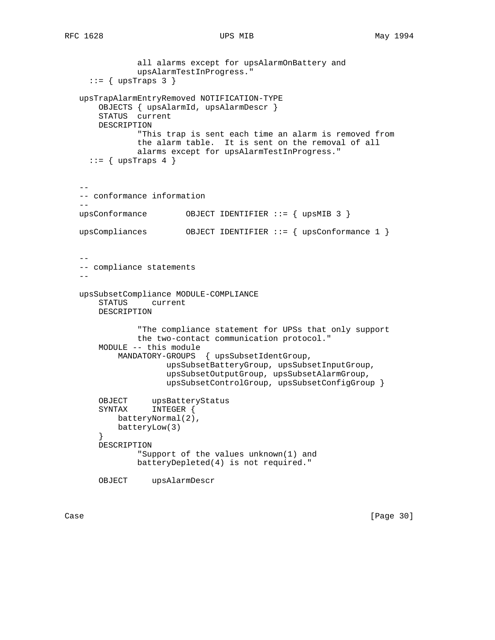```
 all alarms except for upsAlarmOnBattery and
               upsAlarmTestInProgress."
    ::= { upsTraps 3 }
   upsTrapAlarmEntryRemoved NOTIFICATION-TYPE
       OBJECTS { upsAlarmId, upsAlarmDescr }
       STATUS current
       DESCRIPTION
               "This trap is sent each time an alarm is removed from
               the alarm table. It is sent on the removal of all
               alarms except for upsAlarmTestInProgress."
    ::= { upsTraps 4 }
- -- conformance information
 --
   upsConformance OBJECT IDENTIFIER ::= { upsMIB 3 }
   upsCompliances OBJECT IDENTIFIER ::= { upsConformance 1 }
 --
   -- compliance statements
  - upsSubsetCompliance MODULE-COMPLIANCE
       STATUS current
       DESCRIPTION
                "The compliance statement for UPSs that only support
               the two-contact communication protocol."
       MODULE -- this module
           MANDATORY-GROUPS { upsSubsetIdentGroup,
                     upsSubsetBatteryGroup, upsSubsetInputGroup,
                      upsSubsetOutputGroup, upsSubsetAlarmGroup,
                      upsSubsetControlGroup, upsSubsetConfigGroup }
       OBJECT upsBatteryStatus
       SYNTAX INTEGER {
           batteryNormal(2),
           batteryLow(3)
       }
       DESCRIPTION
               "Support of the values unknown(1) and
               batteryDepleted(4) is not required."
       OBJECT upsAlarmDescr
```
Case [Page 30]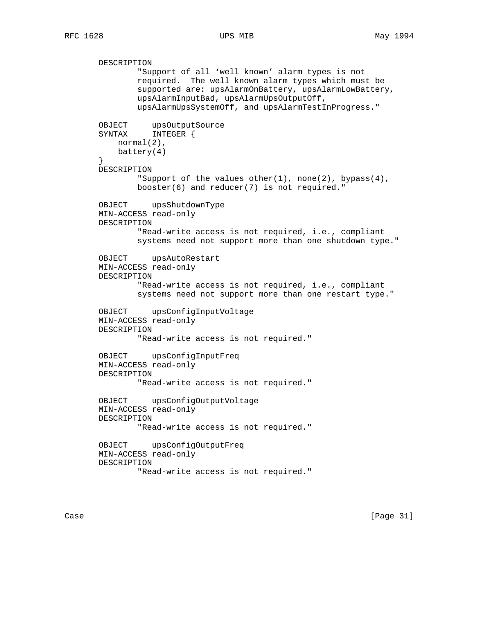DESCRIPTION "Support of all 'well known' alarm types is not required. The well known alarm types which must be supported are: upsAlarmOnBattery, upsAlarmLowBattery, upsAlarmInputBad, upsAlarmUpsOutputOff, upsAlarmUpsSystemOff, and upsAlarmTestInProgress." OBJECT upsOutputSource SYNTAX INTEGER { normal(2), battery(4) } DESCRIPTION "Support of the values other(1), none(2), bypass(4), booster(6) and reducer(7) is not required." OBJECT upsShutdownType MIN-ACCESS read-only DESCRIPTION "Read-write access is not required, i.e., compliant systems need not support more than one shutdown type." OBJECT upsAutoRestart MIN-ACCESS read-only DESCRIPTION "Read-write access is not required, i.e., compliant systems need not support more than one restart type." OBJECT upsConfigInputVoltage MIN-ACCESS read-only DESCRIPTION "Read-write access is not required." OBJECT upsConfigInputFreq MIN-ACCESS read-only DESCRIPTION "Read-write access is not required." OBJECT upsConfigOutputVoltage MIN-ACCESS read-only DESCRIPTION "Read-write access is not required." OBJECT upsConfigOutputFreq MIN-ACCESS read-only DESCRIPTION "Read-write access is not required."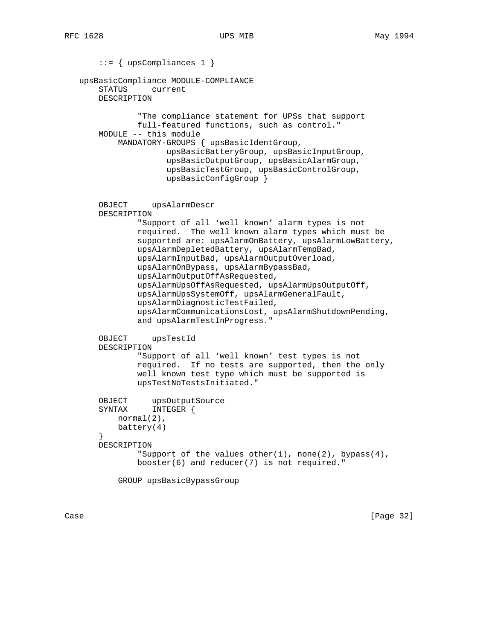::= { upsCompliances 1 } upsBasicCompliance MODULE-COMPLIANCE STATUS current DESCRIPTION "The compliance statement for UPSs that support full-featured functions, such as control." MODULE -- this module MANDATORY-GROUPS { upsBasicIdentGroup, upsBasicBatteryGroup, upsBasicInputGroup, upsBasicOutputGroup, upsBasicAlarmGroup, upsBasicTestGroup, upsBasicControlGroup, upsBasicConfigGroup } OBJECT upsAlarmDescr DESCRIPTION "Support of all 'well known' alarm types is not required. The well known alarm types which must be supported are: upsAlarmOnBattery, upsAlarmLowBattery, upsAlarmDepletedBattery, upsAlarmTempBad, upsAlarmInputBad, upsAlarmOutputOverload, upsAlarmOnBypass, upsAlarmBypassBad, upsAlarmOutputOffAsRequested, upsAlarmUpsOffAsRequested, upsAlarmUpsOutputOff, upsAlarmUpsSystemOff, upsAlarmGeneralFault, upsAlarmDiagnosticTestFailed, upsAlarmCommunicationsLost, upsAlarmShutdownPending, and upsAlarmTestInProgress." OBJECT upsTestId DESCRIPTION "Support of all 'well known' test types is not required. If no tests are supported, then the only well known test type which must be supported is upsTestNoTestsInitiated." OBJECT upsOutputSource SYNTAX INTEGER { normal(2), battery(4) } DESCRIPTION "Support of the values other(1), none(2), bypass(4), booster(6) and reducer(7) is not required." GROUP upsBasicBypassGroup

Case [Page 32]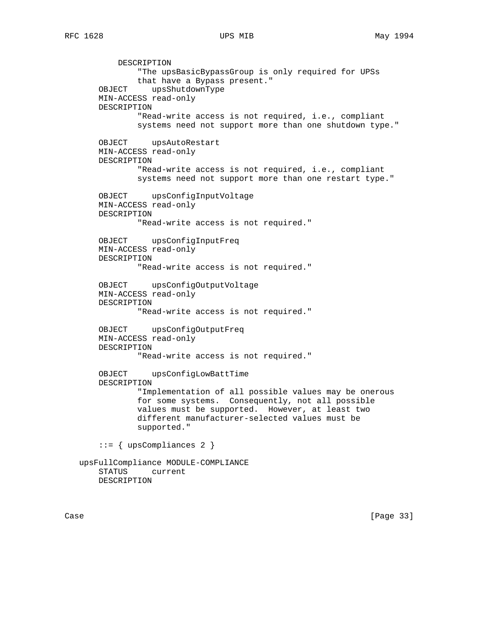DESCRIPTION "The upsBasicBypassGroup is only required for UPSs that have a Bypass present." OBJECT upsShutdownType MIN-ACCESS read-only DESCRIPTION "Read-write access is not required, i.e., compliant systems need not support more than one shutdown type." OBJECT upsAutoRestart MIN-ACCESS read-only DESCRIPTION "Read-write access is not required, i.e., compliant systems need not support more than one restart type." OBJECT upsConfigInputVoltage MIN-ACCESS read-only DESCRIPTION "Read-write access is not required." OBJECT upsConfigInputFreq MIN-ACCESS read-only DESCRIPTION "Read-write access is not required." OBJECT upsConfigOutputVoltage MIN-ACCESS read-only DESCRIPTION "Read-write access is not required." OBJECT upsConfigOutputFreq MIN-ACCESS read-only DESCRIPTION "Read-write access is not required." OBJECT upsConfigLowBattTime DESCRIPTION "Implementation of all possible values may be onerous for some systems. Consequently, not all possible values must be supported. However, at least two different manufacturer-selected values must be supported." ::= { upsCompliances 2 } upsFullCompliance MODULE-COMPLIANCE STATUS current DESCRIPTION

Case [Page 33]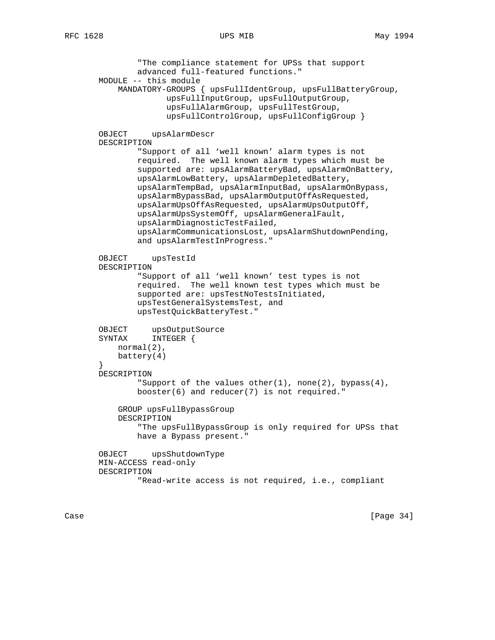"The compliance statement for UPSs that support advanced full-featured functions." MODULE -- this module MANDATORY-GROUPS { upsFullIdentGroup, upsFullBatteryGroup, upsFullInputGroup, upsFullOutputGroup, upsFullAlarmGroup, upsFullTestGroup, upsFullControlGroup, upsFullConfigGroup } OBJECT upsAlarmDescr DESCRIPTION "Support of all 'well known' alarm types is not required. The well known alarm types which must be supported are: upsAlarmBatteryBad, upsAlarmOnBattery, upsAlarmLowBattery, upsAlarmDepletedBattery, upsAlarmTempBad, upsAlarmInputBad, upsAlarmOnBypass, upsAlarmBypassBad, upsAlarmOutputOffAsRequested, upsAlarmUpsOffAsRequested, upsAlarmUpsOutputOff, upsAlarmUpsSystemOff, upsAlarmGeneralFault, upsAlarmDiagnosticTestFailed, upsAlarmCommunicationsLost, upsAlarmShutdownPending, and upsAlarmTestInProgress." OBJECT upsTestId DESCRIPTION "Support of all 'well known' test types is not required. The well known test types which must be supported are: upsTestNoTestsInitiated, upsTestGeneralSystemsTest, and upsTestQuickBatteryTest." OBJECT upsOutputSource SYNTAX INTEGER { normal(2), battery(4) } DESCRIPTION "Support of the values other(1), none(2), bypass(4), booster(6) and reducer(7) is not required." GROUP upsFullBypassGroup DESCRIPTION "The upsFullBypassGroup is only required for UPSs that have a Bypass present." OBJECT upsShutdownType MIN-ACCESS read-only DESCRIPTION "Read-write access is not required, i.e., compliant

Case [Page 34]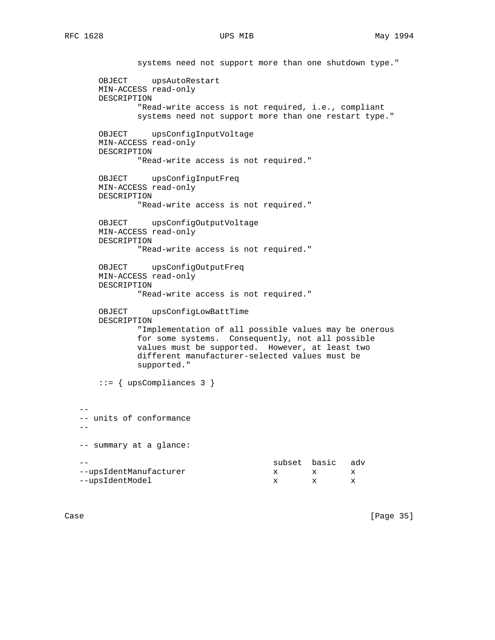systems need not support more than one shutdown type." OBJECT upsAutoRestart MIN-ACCESS read-only DESCRIPTION "Read-write access is not required, i.e., compliant systems need not support more than one restart type." OBJECT upsConfigInputVoltage MIN-ACCESS read-only DESCRIPTION "Read-write access is not required." OBJECT upsConfigInputFreq MIN-ACCESS read-only DESCRIPTION "Read-write access is not required." OBJECT upsConfigOutputVoltage MIN-ACCESS read-only DESCRIPTION "Read-write access is not required." OBJECT upsConfigOutputFreq MIN-ACCESS read-only DESCRIPTION "Read-write access is not required." OBJECT upsConfigLowBattTime DESCRIPTION "Implementation of all possible values may be onerous for some systems. Consequently, not all possible values must be supported. However, at least two different manufacturer-selected values must be supported." ::= { upsCompliances 3 } -- units of conformance -- summary at a glance: subset basic adv --upsIdentManufacturer x x x x --upsIdentModel x x x

--

 $- -$ 

Case [Page 35]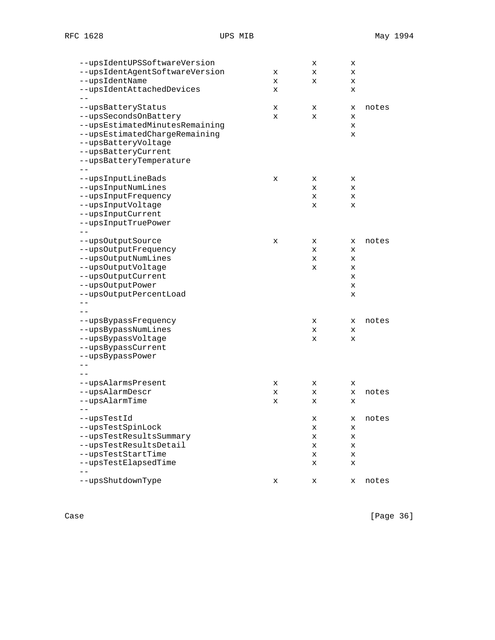Case [Page 36]

| --upsIdentUPSSoftwareVersion   |   | х | х |       |
|--------------------------------|---|---|---|-------|
| --upsIdentAgentSoftwareVersion | x | X | X |       |
| --upsIdentName                 | X | х | х |       |
| --upsIdentAttachedDevices      | х |   | х |       |
| --upsBatteryStatus             | х | х | х | notes |
| --upsSecondsOnBattery          | х | х | X |       |
| --upsEstimatedMinutesRemaining |   |   | X |       |
| --upsEstimatedChargeRemaining  |   |   | х |       |
| --upsBatteryVoltage            |   |   |   |       |
| --upsBatteryCurrent            |   |   |   |       |
| --upsBatteryTemperature        |   |   |   |       |
|                                |   |   |   |       |
| --upsInputLineBads             | х | x | X |       |
| --upsInputNumLines             |   | х | х |       |
| --upsInputFrequency            |   | х | X |       |
| --upsInputVoltage              |   | х | х |       |
| --upsInputCurrent              |   |   |   |       |
| --upsInputTruePower            |   |   |   |       |
|                                |   |   |   |       |
| --upsOutputSource              | х | х | х | notes |
| --upsOutputFrequency           |   | х | х |       |
| --upsOutputNumLines            |   | х | X |       |
| --upsOutputVoltage             |   | х | х |       |
| --upsOutputCurrent             |   |   | x |       |
| --upsOutputPower               |   |   | X |       |
| --upsOutputPercentLoad         |   |   | х |       |
|                                |   |   |   |       |
|                                |   |   |   |       |
| --upsBypassFrequency           |   | х | х | notes |
| --upsBypassNumLines            |   | х | X |       |
| --upsBypassVoltage             |   | X | X |       |
| --upsBypassCurrent             |   |   |   |       |
| --upsBypassPower               |   |   |   |       |
|                                |   |   |   |       |
|                                |   |   |   |       |
| --upsAlarmsPresent             | х | х | х |       |
| --upsAlarmDescr                | x | X | X | notes |
| --upsAlarmTime                 | х | х | х |       |
|                                |   |   |   |       |
| --upsTestId                    |   | х | х | notes |
| --upsTestSpinLock              |   | х | х |       |
| --upsTestResultsSummary        |   | х | х |       |
| --upsTestResultsDetail         |   | X | x |       |
| --upsTestStartTime             |   | х | х |       |
| --upsTestElapsedTime           |   | х | X |       |
|                                |   |   |   |       |
| --upsShutdownType              | х | х | х | notes |
|                                |   |   |   |       |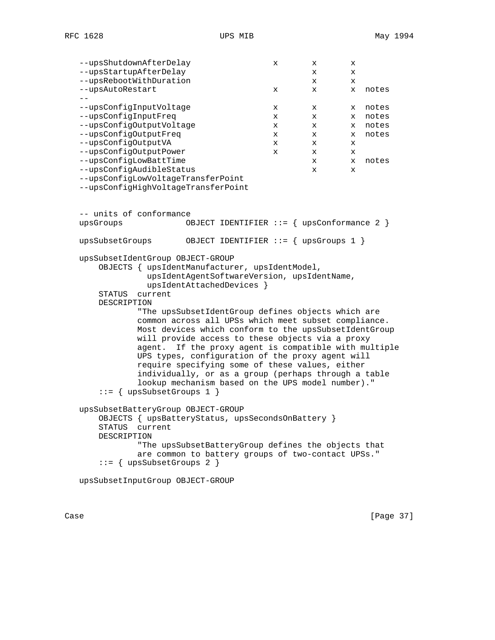| --upsShutdownAfterDelay                           |                                                       | х | х | х |       |
|---------------------------------------------------|-------------------------------------------------------|---|---|---|-------|
| --upsStartupAfterDelay                            |                                                       |   | x | X |       |
| --upsRebootWithDuration                           |                                                       |   | x | X |       |
| --upsAutoRestart                                  |                                                       | х | х | X | notes |
|                                                   |                                                       |   |   |   |       |
| --upsConfigInputVoltage                           |                                                       | х | х | X | notes |
| --upsConfigInputFreq                              |                                                       | х | х | X | notes |
| --upsConfigOutputVoltage                          |                                                       | x | X | X | notes |
| --upsConfigOutputFreq                             |                                                       | x | x | X | notes |
| --upsConfigOutputVA                               |                                                       | х | х | x |       |
| --upsConfigOutputPower                            |                                                       | х | х | х |       |
| --upsConfigLowBattTime                            |                                                       |   | х | x | notes |
| --upsConfigAudibleStatus                          |                                                       |   | х | x |       |
| --upsConfigLowVoltageTransferPoint                |                                                       |   |   |   |       |
| --upsConfigHighVoltageTransferPoint               |                                                       |   |   |   |       |
|                                                   |                                                       |   |   |   |       |
|                                                   |                                                       |   |   |   |       |
| -- units of conformance                           |                                                       |   |   |   |       |
| upsGroups                                         | OBJECT IDENTIFIER ::= $\{$ upsConformance 2 $\}$      |   |   |   |       |
| upsSubsetGroups                                   | OBJECT IDENTIFIER ::= $\{ upsGroups 1 \}$             |   |   |   |       |
|                                                   |                                                       |   |   |   |       |
| upsSubsetIdentGroup OBJECT-GROUP                  |                                                       |   |   |   |       |
| OBJECTS { upsIdentManufacturer, upsIdentModel,    |                                                       |   |   |   |       |
|                                                   | upsIdentAgentSoftwareVersion, upsIdentName,           |   |   |   |       |
|                                                   | upsIdentAttachedDevices }                             |   |   |   |       |
| <b>STATUS</b><br>current                          |                                                       |   |   |   |       |
| DESCRIPTION                                       |                                                       |   |   |   |       |
|                                                   | "The upsSubsetIdentGroup defines objects which are    |   |   |   |       |
|                                                   | common across all UPSs which meet subset compliance.  |   |   |   |       |
|                                                   | Most devices which conform to the upsSubsetIdentGroup |   |   |   |       |
|                                                   | will provide access to these objects via a proxy      |   |   |   |       |
| aqent.                                            | If the proxy agent is compatible with multiple        |   |   |   |       |
|                                                   | UPS types, configuration of the proxy agent will      |   |   |   |       |
|                                                   | require specifying some of these values, either       |   |   |   |       |
|                                                   | individually, or as a group (perhaps through a table  |   |   |   |       |
|                                                   | lookup mechanism based on the UPS model number)."     |   |   |   |       |
| $ ::= \{ upsSubsetGroups 1 \}$                    |                                                       |   |   |   |       |
|                                                   |                                                       |   |   |   |       |
| upsSubsetBatteryGroup OBJECT-GROUP                |                                                       |   |   |   |       |
| OBJECTS { upsBatteryStatus, upsSecondsOnBattery } |                                                       |   |   |   |       |
| STATUS current                                    |                                                       |   |   |   |       |
| DESCRIPTION                                       |                                                       |   |   |   |       |
|                                                   | "The upsSubsetBatteryGroup defines the objects that   |   |   |   |       |
|                                                   | are common to battery groups of two-contact UPSs."    |   |   |   |       |
| $::=$ { upsSubsetGroups 2 }                       |                                                       |   |   |   |       |
|                                                   |                                                       |   |   |   |       |
| upsSubsetInputGroup OBJECT-GROUP                  |                                                       |   |   |   |       |
|                                                   |                                                       |   |   |   |       |
|                                                   |                                                       |   |   |   |       |
|                                                   |                                                       |   |   |   |       |

Case [Page 37]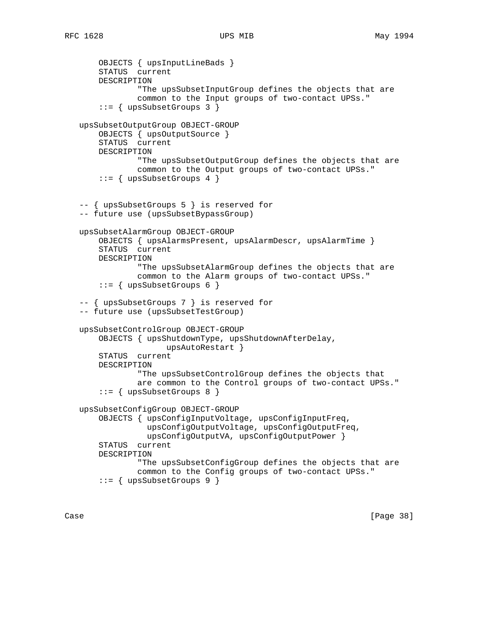```
 OBJECTS { upsInputLineBads }
     STATUS current
     DESCRIPTION
             "The upsSubsetInputGroup defines the objects that are
             common to the Input groups of two-contact UPSs."
     ::= { upsSubsetGroups 3 }
 upsSubsetOutputGroup OBJECT-GROUP
     OBJECTS { upsOutputSource }
     STATUS current
    DESCRIPTION
             "The upsSubsetOutputGroup defines the objects that are
             common to the Output groups of two-contact UPSs."
     ::= \{ upsSubsetGroups 4 \} -- { upsSubsetGroups 5 } is reserved for
 -- future use (upsSubsetBypassGroup)
 upsSubsetAlarmGroup OBJECT-GROUP
     OBJECTS { upsAlarmsPresent, upsAlarmDescr, upsAlarmTime }
     STATUS current
    DESCRIPTION
             "The upsSubsetAlarmGroup defines the objects that are
             common to the Alarm groups of two-contact UPSs."
     ::= \{ upsSubsetGroups 6 \} -- { upsSubsetGroups 7 } is reserved for
 -- future use (upsSubsetTestGroup)
 upsSubsetControlGroup OBJECT-GROUP
     OBJECTS { upsShutdownType, upsShutdownAfterDelay,
                   upsAutoRestart }
     STATUS current
     DESCRIPTION
             "The upsSubsetControlGroup defines the objects that
             are common to the Control groups of two-contact UPSs."
     ::= { upsSubsetGroups 8 }
 upsSubsetConfigGroup OBJECT-GROUP
     OBJECTS { upsConfigInputVoltage, upsConfigInputFreq,
               upsConfigOutputVoltage, upsConfigOutputFreq,
               upsConfigOutputVA, upsConfigOutputPower }
     STATUS current
     DESCRIPTION
             "The upsSubsetConfigGroup defines the objects that are
             common to the Config groups of two-contact UPSs."
     ::= { upsSubsetGroups 9 }
```
Case [Page 38]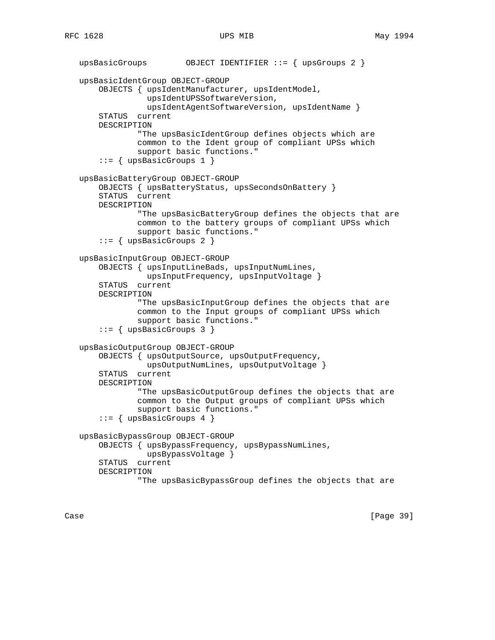```
 upsBasicGroups OBJECT IDENTIFIER ::= { upsGroups 2 }
 upsBasicIdentGroup OBJECT-GROUP
     OBJECTS { upsIdentManufacturer, upsIdentModel,
               upsIdentUPSSoftwareVersion,
               upsIdentAgentSoftwareVersion, upsIdentName }
     STATUS current
     DESCRIPTION
             "The upsBasicIdentGroup defines objects which are
             common to the Ident group of compliant UPSs which
             support basic functions."
     ::= { upsBasicGroups 1 }
 upsBasicBatteryGroup OBJECT-GROUP
     OBJECTS { upsBatteryStatus, upsSecondsOnBattery }
     STATUS current
    DESCRIPTION
             "The upsBasicBatteryGroup defines the objects that are
             common to the battery groups of compliant UPSs which
             support basic functions."
     ::= { upsBasicGroups 2 }
 upsBasicInputGroup OBJECT-GROUP
     OBJECTS { upsInputLineBads, upsInputNumLines,
               upsInputFrequency, upsInputVoltage }
     STATUS current
     DESCRIPTION
             "The upsBasicInputGroup defines the objects that are
             common to the Input groups of compliant UPSs which
             support basic functions."
     ::= { upsBasicGroups 3 }
 upsBasicOutputGroup OBJECT-GROUP
     OBJECTS { upsOutputSource, upsOutputFrequency,
               upsOutputNumLines, upsOutputVoltage }
     STATUS current
     DESCRIPTION
             "The upsBasicOutputGroup defines the objects that are
             common to the Output groups of compliant UPSs which
             support basic functions."
     ::= { upsBasicGroups 4 }
 upsBasicBypassGroup OBJECT-GROUP
     OBJECTS { upsBypassFrequency, upsBypassNumLines,
               upsBypassVoltage }
     STATUS current
     DESCRIPTION
             "The upsBasicBypassGroup defines the objects that are
```
Case [Page 39]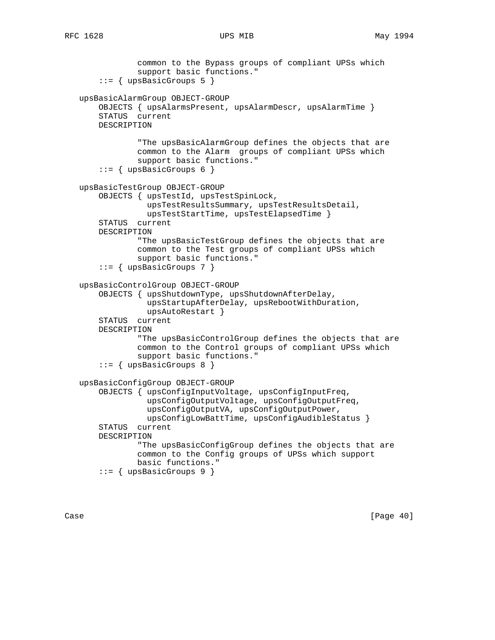```
 common to the Bypass groups of compliant UPSs which
             support basic functions."
     ::= { upsBasicGroups 5 }
 upsBasicAlarmGroup OBJECT-GROUP
     OBJECTS { upsAlarmsPresent, upsAlarmDescr, upsAlarmTime }
     STATUS current
    DESCRIPTION
             "The upsBasicAlarmGroup defines the objects that are
             common to the Alarm groups of compliant UPSs which
             support basic functions."
     ::= { upsBasicGroups 6 }
 upsBasicTestGroup OBJECT-GROUP
     OBJECTS { upsTestId, upsTestSpinLock,
               upsTestResultsSummary, upsTestResultsDetail,
               upsTestStartTime, upsTestElapsedTime }
     STATUS current
     DESCRIPTION
             "The upsBasicTestGroup defines the objects that are
             common to the Test groups of compliant UPSs which
             support basic functions."
     ::= { upsBasicGroups 7 }
 upsBasicControlGroup OBJECT-GROUP
     OBJECTS { upsShutdownType, upsShutdownAfterDelay,
               upsStartupAfterDelay, upsRebootWithDuration,
               upsAutoRestart }
     STATUS current
     DESCRIPTION
             "The upsBasicControlGroup defines the objects that are
             common to the Control groups of compliant UPSs which
             support basic functions."
     ::= { upsBasicGroups 8 }
 upsBasicConfigGroup OBJECT-GROUP
     OBJECTS { upsConfigInputVoltage, upsConfigInputFreq,
               upsConfigOutputVoltage, upsConfigOutputFreq,
               upsConfigOutputVA, upsConfigOutputPower,
               upsConfigLowBattTime, upsConfigAudibleStatus }
     STATUS current
     DESCRIPTION
             "The upsBasicConfigGroup defines the objects that are
             common to the Config groups of UPSs which support
             basic functions."
     ::= { upsBasicGroups 9 }
```
Case [Page 40]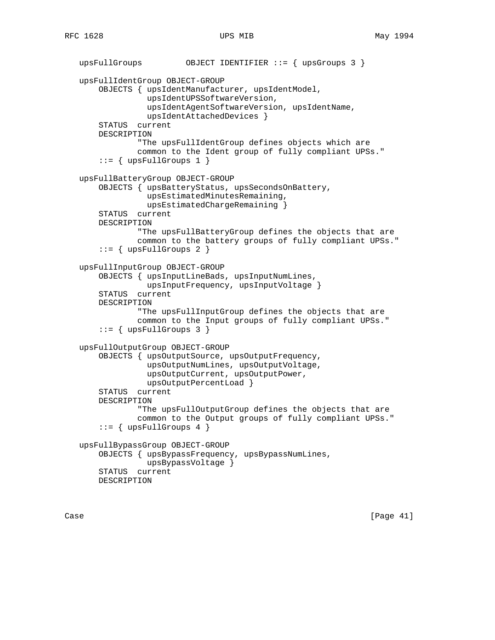```
 upsFullGroups OBJECT IDENTIFIER ::= { upsGroups 3 }
 upsFullIdentGroup OBJECT-GROUP
     OBJECTS { upsIdentManufacturer, upsIdentModel,
               upsIdentUPSSoftwareVersion,
               upsIdentAgentSoftwareVersion, upsIdentName,
               upsIdentAttachedDevices }
     STATUS current
     DESCRIPTION
             "The upsFullIdentGroup defines objects which are
             common to the Ident group of fully compliant UPSs."
    ::= { upsFullGroups 1 }
 upsFullBatteryGroup OBJECT-GROUP
     OBJECTS { upsBatteryStatus, upsSecondsOnBattery,
               upsEstimatedMinutesRemaining,
               upsEstimatedChargeRemaining }
     STATUS current
     DESCRIPTION
             "The upsFullBatteryGroup defines the objects that are
             common to the battery groups of fully compliant UPSs."
    ::= { upsFullGroups 2 }
 upsFullInputGroup OBJECT-GROUP
     OBJECTS { upsInputLineBads, upsInputNumLines,
               upsInputFrequency, upsInputVoltage }
     STATUS current
     DESCRIPTION
             "The upsFullInputGroup defines the objects that are
             common to the Input groups of fully compliant UPSs."
    ::= { upsFullGroups 3 }
 upsFullOutputGroup OBJECT-GROUP
     OBJECTS { upsOutputSource, upsOutputFrequency,
               upsOutputNumLines, upsOutputVoltage,
               upsOutputCurrent, upsOutputPower,
               upsOutputPercentLoad }
     STATUS current
     DESCRIPTION
             "The upsFullOutputGroup defines the objects that are
             common to the Output groups of fully compliant UPSs."
    ::= { upsFullGroups 4 }
 upsFullBypassGroup OBJECT-GROUP
     OBJECTS { upsBypassFrequency, upsBypassNumLines,
               upsBypassVoltage }
     STATUS current
     DESCRIPTION
```
Case [Page 41]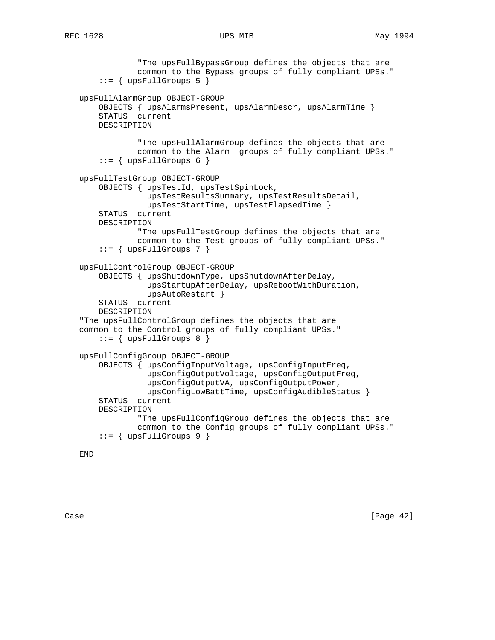```
 "The upsFullBypassGroup defines the objects that are
             common to the Bypass groups of fully compliant UPSs."
    ::= { upsFullGroups 5 }
 upsFullAlarmGroup OBJECT-GROUP
     OBJECTS { upsAlarmsPresent, upsAlarmDescr, upsAlarmTime }
     STATUS current
    DESCRIPTION
             "The upsFullAlarmGroup defines the objects that are
             common to the Alarm groups of fully compliant UPSs."
    ::= { upsFullGroups 6 }
 upsFullTestGroup OBJECT-GROUP
     OBJECTS { upsTestId, upsTestSpinLock,
               upsTestResultsSummary, upsTestResultsDetail,
               upsTestStartTime, upsTestElapsedTime }
     STATUS current
     DESCRIPTION
             "The upsFullTestGroup defines the objects that are
             common to the Test groups of fully compliant UPSs."
    ::= { upsFullGroups 7 }
 upsFullControlGroup OBJECT-GROUP
     OBJECTS { upsShutdownType, upsShutdownAfterDelay,
               upsStartupAfterDelay, upsRebootWithDuration,
               upsAutoRestart }
     STATUS current
     DESCRIPTION
 "The upsFullControlGroup defines the objects that are
 common to the Control groups of fully compliant UPSs."
    ::= { upsFullGroups 8 }
 upsFullConfigGroup OBJECT-GROUP
     OBJECTS { upsConfigInputVoltage, upsConfigInputFreq,
               upsConfigOutputVoltage, upsConfigOutputFreq,
               upsConfigOutputVA, upsConfigOutputPower,
               upsConfigLowBattTime, upsConfigAudibleStatus }
     STATUS current
     DESCRIPTION
             "The upsFullConfigGroup defines the objects that are
             common to the Config groups of fully compliant UPSs."
    ::= { upsFullGroups 9 }
```
END

Case [Page 42]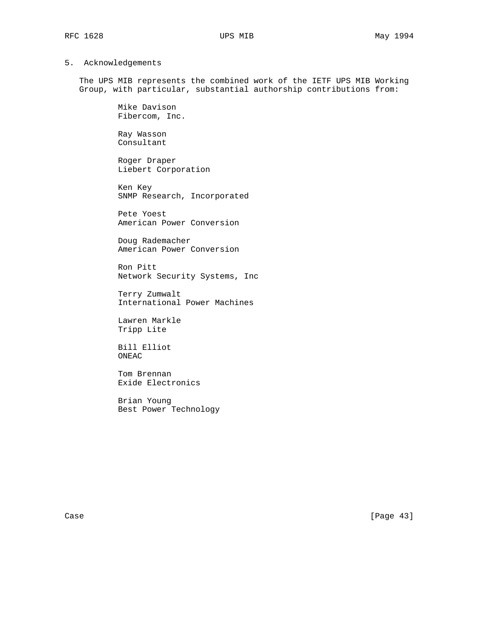# 5. Acknowledgements

 The UPS MIB represents the combined work of the IETF UPS MIB Working Group, with particular, substantial authorship contributions from:

> Mike Davison Fibercom, Inc.

 Ray Wasson Consultant

 Roger Draper Liebert Corporation

 Ken Key SNMP Research, Incorporated

 Pete Yoest American Power Conversion

 Doug Rademacher American Power Conversion

 Ron Pitt Network Security Systems, Inc

 Terry Zumwalt International Power Machines

 Lawren Markle Tripp Lite

 Bill Elliot ONEAC

 Tom Brennan Exide Electronics

 Brian Young Best Power Technology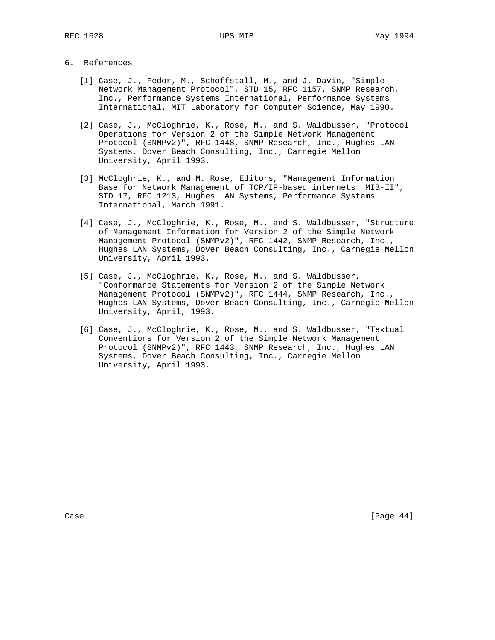### 6. References

- [1] Case, J., Fedor, M., Schoffstall, M., and J. Davin, "Simple Network Management Protocol", STD 15, RFC 1157, SNMP Research, Inc., Performance Systems International, Performance Systems International, MIT Laboratory for Computer Science, May 1990.
- [2] Case, J., McCloghrie, K., Rose, M., and S. Waldbusser, "Protocol Operations for Version 2 of the Simple Network Management Protocol (SNMPv2)", RFC 1448, SNMP Research, Inc., Hughes LAN Systems, Dover Beach Consulting, Inc., Carnegie Mellon University, April 1993.
- [3] McCloghrie, K., and M. Rose, Editors, "Management Information Base for Network Management of TCP/IP-based internets: MIB-II", STD 17, RFC 1213, Hughes LAN Systems, Performance Systems International, March 1991.
- [4] Case, J., McCloghrie, K., Rose, M., and S. Waldbusser, "Structure of Management Information for Version 2 of the Simple Network Management Protocol (SNMPv2)", RFC 1442, SNMP Research, Inc., Hughes LAN Systems, Dover Beach Consulting, Inc., Carnegie Mellon University, April 1993.
- [5] Case, J., McCloghrie, K., Rose, M., and S. Waldbusser, "Conformance Statements for Version 2 of the Simple Network Management Protocol (SNMPv2)", RFC 1444, SNMP Research, Inc., Hughes LAN Systems, Dover Beach Consulting, Inc., Carnegie Mellon University, April, 1993.
- [6] Case, J., McCloghrie, K., Rose, M., and S. Waldbusser, "Textual Conventions for Version 2 of the Simple Network Management Protocol (SNMPv2)", RFC 1443, SNMP Research, Inc., Hughes LAN Systems, Dover Beach Consulting, Inc., Carnegie Mellon University, April 1993.

Case [Page 44]